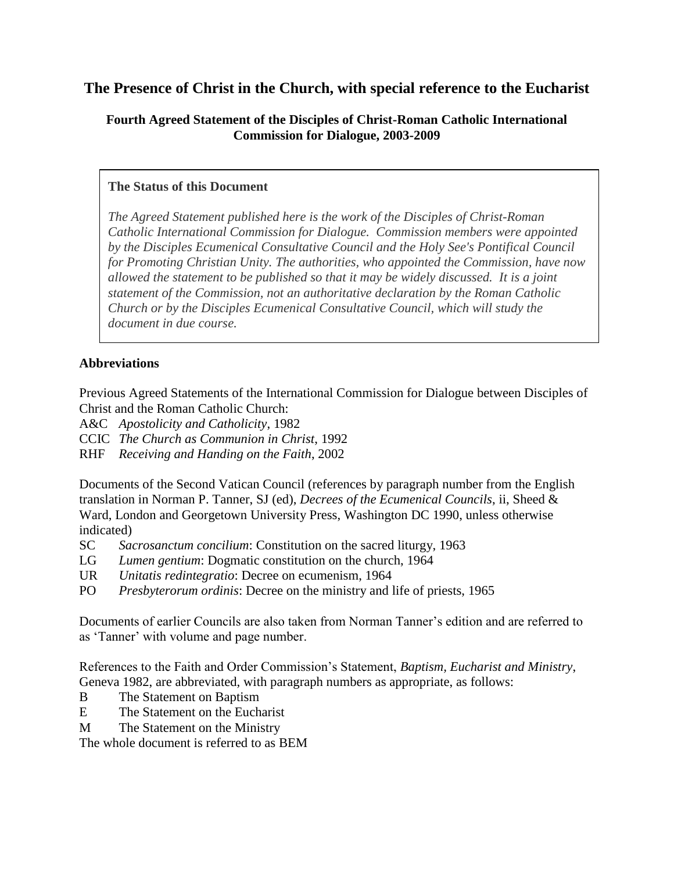# **The Presence of Christ in the Church, with special reference to the Eucharist**

### **Fourth Agreed Statement of the Disciples of Christ-Roman Catholic International Commission for Dialogue, 2003-2009**

### **The Status of this Document**

*The Agreed Statement published here is the work of the Disciples of Christ-Roman Catholic International Commission for Dialogue. Commission members were appointed by the Disciples Ecumenical Consultative Council and the Holy See's Pontifical Council for Promoting Christian Unity. The authorities, who appointed the Commission, have now allowed the statement to be published so that it may be widely discussed. It is a joint statement of the Commission, not an authoritative declaration by the Roman Catholic Church or by the Disciples Ecumenical Consultative Council, which will study the document in due course.*

## **Abbreviations**

Previous Agreed Statements of the International Commission for Dialogue between Disciples of Christ and the Roman Catholic Church:

A&C *Apostolicity and Catholicity*, 1982

CCIC *The Church as Communion in Christ*, 1992

RHF *Receiving and Handing on the Faith*, 2002

Documents of the Second Vatican Council (references by paragraph number from the English translation in Norman P. Tanner, SJ (ed), *Decrees of the Ecumenical Councils*, ii, Sheed & Ward, London and Georgetown University Press, Washington DC 1990, unless otherwise indicated)

- SC *Sacrosanctum concilium*: Constitution on the sacred liturgy, 1963
- LG *Lumen gentium*: Dogmatic constitution on the church, 1964
- UR *Unitatis redintegratio*: Decree on ecumenism, 1964
- PO *Presbyterorum ordinis*: Decree on the ministry and life of priests, 1965

Documents of earlier Councils are also taken from Norman Tanner's edition and are referred to as 'Tanner' with volume and page number.

References to the Faith and Order Commission's Statement, *Baptism, Eucharist and Ministry*, Geneva 1982, are abbreviated, with paragraph numbers as appropriate, as follows:

- B The Statement on Baptism
- E The Statement on the Eucharist
- M The Statement on the Ministry

The whole document is referred to as BEM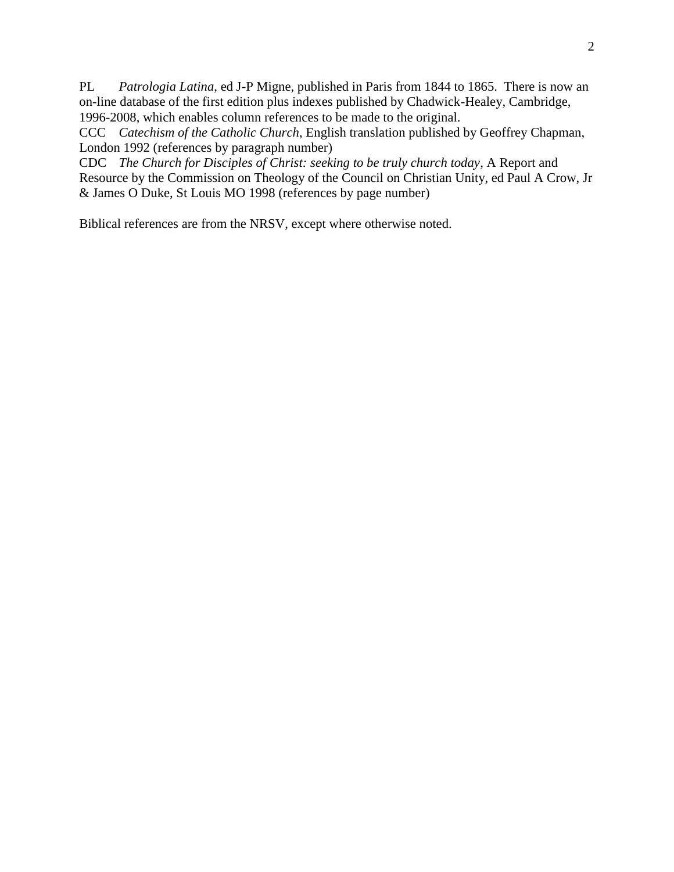PL *Patrologia Latina*, ed J-P Migne, published in Paris from 1844 to 1865. There is now an on-line database of the first edition plus indexes published by Chadwick-Healey, Cambridge, 1996-2008, which enables column references to be made to the original.

CCC *Catechism of the Catholic Church*, English translation published by Geoffrey Chapman, London 1992 (references by paragraph number)

CDC *The Church for Disciples of Christ: seeking to be truly church today*, A Report and Resource by the Commission on Theology of the Council on Christian Unity, ed Paul A Crow, Jr & James O Duke, St Louis MO 1998 (references by page number)

Biblical references are from the NRSV, except where otherwise noted.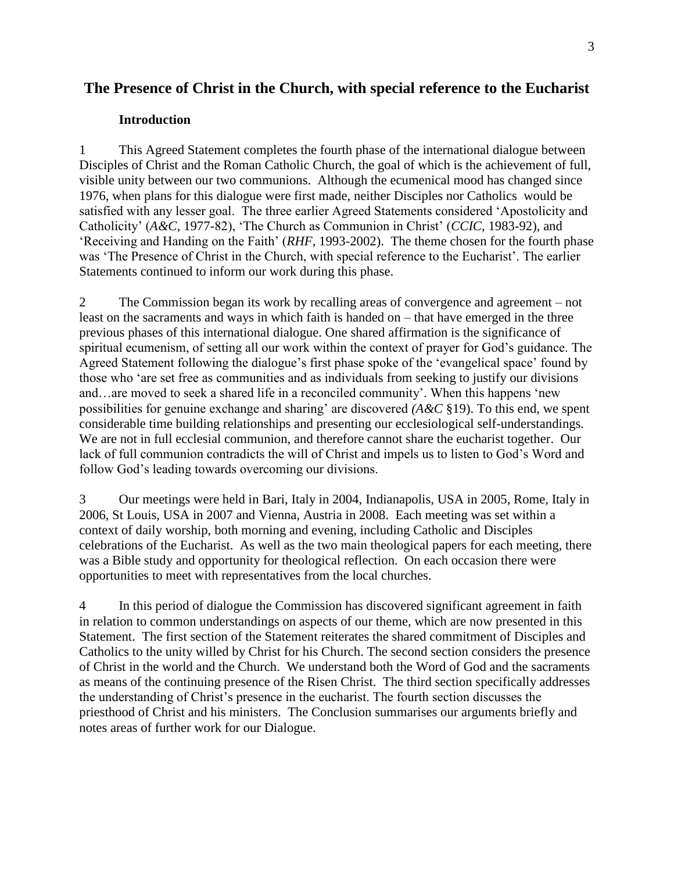## **The Presence of Christ in the Church, with special reference to the Eucharist**

#### **Introduction**

1 This Agreed Statement completes the fourth phase of the international dialogue between Disciples of Christ and the Roman Catholic Church, the goal of which is the achievement of full, visible unity between our two communions. Although the ecumenical mood has changed since 1976, when plans for this dialogue were first made, neither Disciples nor Catholics would be satisfied with any lesser goal. The three earlier Agreed Statements considered 'Apostolicity and Catholicity' (*A&C*, 1977-82), 'The Church as Communion in Christ' (*CCIC*, 1983-92), and 'Receiving and Handing on the Faith' (*RHF*, 1993-2002). The theme chosen for the fourth phase was 'The Presence of Christ in the Church, with special reference to the Eucharist'. The earlier Statements continued to inform our work during this phase.

2 The Commission began its work by recalling areas of convergence and agreement – not least on the sacraments and ways in which faith is handed on – that have emerged in the three previous phases of this international dialogue. One shared affirmation is the significance of spiritual ecumenism, of setting all our work within the context of prayer for God's guidance. The Agreed Statement following the dialogue's first phase spoke of the 'evangelical space' found by those who 'are set free as communities and as individuals from seeking to justify our divisions and…are moved to seek a shared life in a reconciled community'. When this happens 'new possibilities for genuine exchange and sharing' are discovered *(A&C* §19). To this end, we spent considerable time building relationships and presenting our ecclesiological self-understandings. We are not in full ecclesial communion, and therefore cannot share the eucharist together. Our lack of full communion contradicts the will of Christ and impels us to listen to God's Word and follow God's leading towards overcoming our divisions.

3 Our meetings were held in Bari, Italy in 2004, Indianapolis, USA in 2005, Rome, Italy in 2006, St Louis, USA in 2007 and Vienna, Austria in 2008. Each meeting was set within a context of daily worship, both morning and evening, including Catholic and Disciples celebrations of the Eucharist. As well as the two main theological papers for each meeting, there was a Bible study and opportunity for theological reflection. On each occasion there were opportunities to meet with representatives from the local churches.

4 In this period of dialogue the Commission has discovered significant agreement in faith in relation to common understandings on aspects of our theme, which are now presented in this Statement. The first section of the Statement reiterates the shared commitment of Disciples and Catholics to the unity willed by Christ for his Church. The second section considers the presence of Christ in the world and the Church. We understand both the Word of God and the sacraments as means of the continuing presence of the Risen Christ. The third section specifically addresses the understanding of Christ's presence in the eucharist. The fourth section discusses the priesthood of Christ and his ministers. The Conclusion summarises our arguments briefly and notes areas of further work for our Dialogue.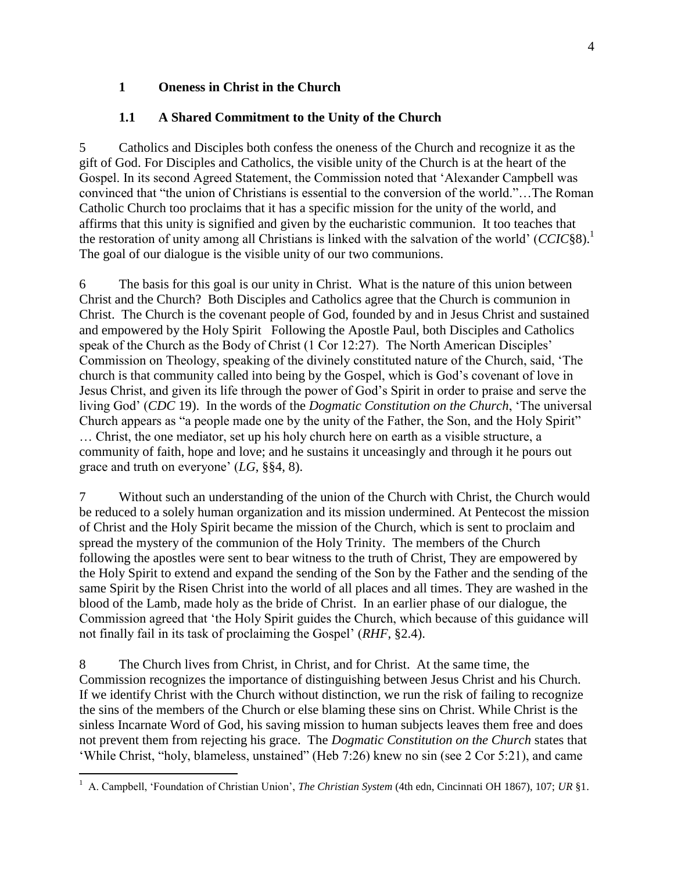### **1 Oneness in Christ in the Church**

## **1.1 A Shared Commitment to the Unity of the Church**

5 Catholics and Disciples both confess the oneness of the Church and recognize it as the gift of God. For Disciples and Catholics, the visible unity of the Church is at the heart of the Gospel. In its second Agreed Statement, the Commission noted that 'Alexander Campbell was convinced that "the union of Christians is essential to the conversion of the world."…The Roman Catholic Church too proclaims that it has a specific mission for the unity of the world, and affirms that this unity is signified and given by the eucharistic communion. It too teaches that the restoration of unity among all Christians is linked with the salvation of the world' (*CCIC*§8).<sup>1</sup> The goal of our dialogue is the visible unity of our two communions.

6 The basis for this goal is our unity in Christ. What is the nature of this union between Christ and the Church? Both Disciples and Catholics agree that the Church is communion in Christ. The Church is the covenant people of God, founded by and in Jesus Christ and sustained and empowered by the Holy Spirit Following the Apostle Paul, both Disciples and Catholics speak of the Church as the Body of Christ (1 Cor 12:27). The North American Disciples' Commission on Theology, speaking of the divinely constituted nature of the Church, said, 'The church is that community called into being by the Gospel, which is God's covenant of love in Jesus Christ, and given its life through the power of God's Spirit in order to praise and serve the living God' (*CDC* 19). In the words of the *Dogmatic Constitution on the Church*, 'The universal Church appears as "a people made one by the unity of the Father, the Son, and the Holy Spirit" … Christ, the one mediator, set up his holy church here on earth as a visible structure, a community of faith, hope and love; and he sustains it unceasingly and through it he pours out grace and truth on everyone' (*LG*, §§4, 8).

7 Without such an understanding of the union of the Church with Christ, the Church would be reduced to a solely human organization and its mission undermined. At Pentecost the mission of Christ and the Holy Spirit became the mission of the Church, which is sent to proclaim and spread the mystery of the communion of the Holy Trinity. The members of the Church following the apostles were sent to bear witness to the truth of Christ, They are empowered by the Holy Spirit to extend and expand the sending of the Son by the Father and the sending of the same Spirit by the Risen Christ into the world of all places and all times. They are washed in the blood of the Lamb, made holy as the bride of Christ. In an earlier phase of our dialogue, the Commission agreed that 'the Holy Spirit guides the Church, which because of this guidance will not finally fail in its task of proclaiming the Gospel' (*RHF*, §2.4).

8 The Church lives from Christ, in Christ, and for Christ. At the same time, the Commission recognizes the importance of distinguishing between Jesus Christ and his Church. If we identify Christ with the Church without distinction, we run the risk of failing to recognize the sins of the members of the Church or else blaming these sins on Christ. While Christ is the sinless Incarnate Word of God, his saving mission to human subjects leaves them free and does not prevent them from rejecting his grace. The *Dogmatic Constitution on the Church* states that 'While Christ, "holy, blameless, unstained" (Heb 7:26) knew no sin (see 2 Cor 5:21), and came

 $\overline{a}$ <sup>1</sup> A. Campbell, 'Foundation of Christian Union', *The Christian System* (4th edn, Cincinnati OH 1867), 107; *UR* §1.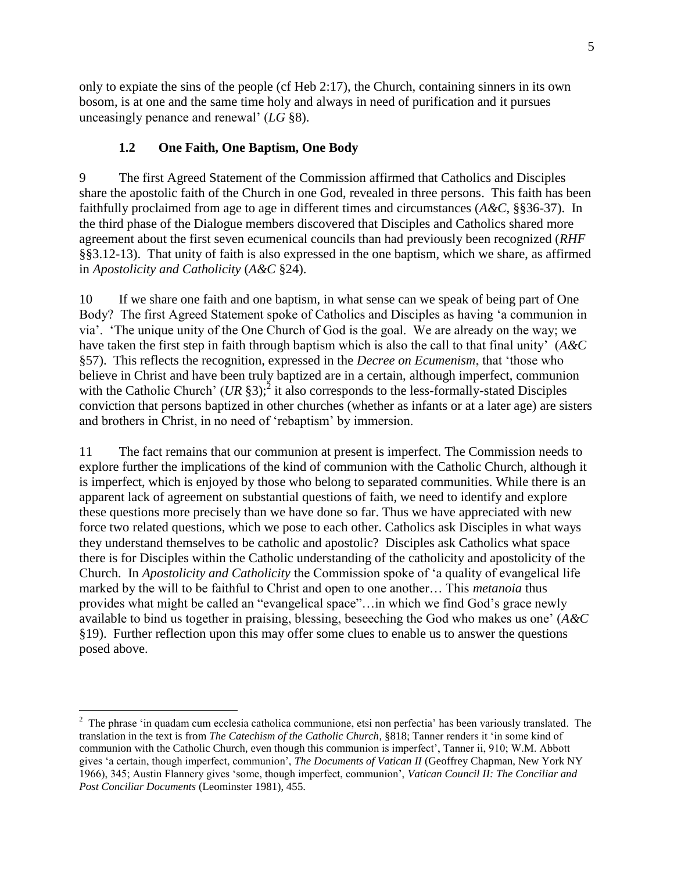only to expiate the sins of the people (cf Heb 2:17), the Church, containing sinners in its own bosom, is at one and the same time holy and always in need of purification and it pursues unceasingly penance and renewal' (*LG* §8).

### **1.2 One Faith, One Baptism, One Body**

9 The first Agreed Statement of the Commission affirmed that Catholics and Disciples share the apostolic faith of the Church in one God, revealed in three persons. This faith has been faithfully proclaimed from age to age in different times and circumstances (*A&C*, §§36-37). In the third phase of the Dialogue members discovered that Disciples and Catholics shared more agreement about the first seven ecumenical councils than had previously been recognized (*RHF* §§3.12-13). That unity of faith is also expressed in the one baptism, which we share, as affirmed in *Apostolicity and Catholicity* (*A&C* §24).

10 If we share one faith and one baptism, in what sense can we speak of being part of One Body? The first Agreed Statement spoke of Catholics and Disciples as having 'a communion in via'. 'The unique unity of the One Church of God is the goal. We are already on the way; we have taken the first step in faith through baptism which is also the call to that final unity' (*A&C* §57). This reflects the recognition, expressed in the *Decree on Ecumenism*, that 'those who believe in Christ and have been truly baptized are in a certain, although imperfect, communion with the Catholic Church' (*UR* §3);<sup>2</sup> it also corresponds to the less-formally-stated Disciples conviction that persons baptized in other churches (whether as infants or at a later age) are sisters and brothers in Christ, in no need of 'rebaptism' by immersion.

11 The fact remains that our communion at present is imperfect. The Commission needs to explore further the implications of the kind of communion with the Catholic Church, although it is imperfect, which is enjoyed by those who belong to separated communities. While there is an apparent lack of agreement on substantial questions of faith, we need to identify and explore these questions more precisely than we have done so far. Thus we have appreciated with new force two related questions, which we pose to each other. Catholics ask Disciples in what ways they understand themselves to be catholic and apostolic? Disciples ask Catholics what space there is for Disciples within the Catholic understanding of the catholicity and apostolicity of the Church. In *Apostolicity and Catholicity* the Commission spoke of 'a quality of evangelical life marked by the will to be faithful to Christ and open to one another… This *metanoia* thus provides what might be called an "evangelical space"…in which we find God's grace newly available to bind us together in praising, blessing, beseeching the God who makes us one' (*A&C* §19). Further reflection upon this may offer some clues to enable us to answer the questions posed above.

 $2$  The phrase 'in quadam cum ecclesia catholica communione, etsi non perfectia' has been variously translated. The translation in the text is from *The Catechism of the Catholic Church*, §818; Tanner renders it 'in some kind of communion with the Catholic Church, even though this communion is imperfect', Tanner ii, 910; W.M. Abbott gives 'a certain, though imperfect, communion', *The Documents of Vatican II* (Geoffrey Chapman, New York NY 1966), 345; Austin Flannery gives 'some, though imperfect, communion', *Vatican Council II: The Conciliar and Post Conciliar Documents* (Leominster 1981), 455.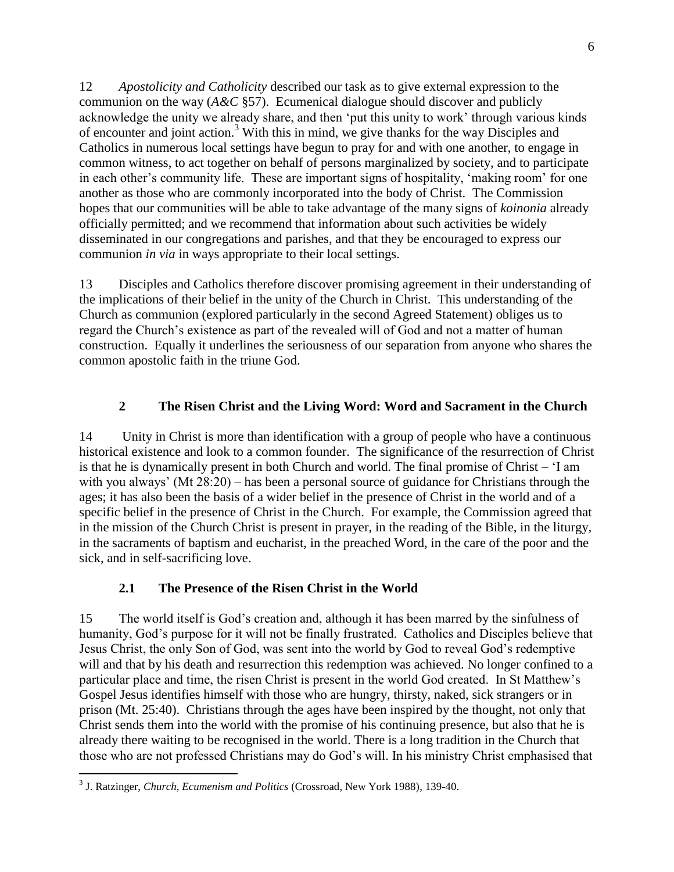12 *Apostolicity and Catholicity* described our task as to give external expression to the communion on the way  $(A \& C \$  57). Ecumenical dialogue should discover and publicly acknowledge the unity we already share, and then 'put this unity to work' through various kinds of encounter and joint action.<sup>3</sup> With this in mind, we give thanks for the way Disciples and Catholics in numerous local settings have begun to pray for and with one another, to engage in common witness, to act together on behalf of persons marginalized by society, and to participate in each other's community life. These are important signs of hospitality, 'making room' for one another as those who are commonly incorporated into the body of Christ. The Commission hopes that our communities will be able to take advantage of the many signs of *koinonia* already officially permitted; and we recommend that information about such activities be widely disseminated in our congregations and parishes, and that they be encouraged to express our communion *in via* in ways appropriate to their local settings.

13 Disciples and Catholics therefore discover promising agreement in their understanding of the implications of their belief in the unity of the Church in Christ. This understanding of the Church as communion (explored particularly in the second Agreed Statement) obliges us to regard the Church's existence as part of the revealed will of God and not a matter of human construction. Equally it underlines the seriousness of our separation from anyone who shares the common apostolic faith in the triune God.

## **2 The Risen Christ and the Living Word: Word and Sacrament in the Church**

14 Unity in Christ is more than identification with a group of people who have a continuous historical existence and look to a common founder. The significance of the resurrection of Christ is that he is dynamically present in both Church and world. The final promise of Christ – 'I am with you always' (Mt 28:20) – has been a personal source of guidance for Christians through the ages; it has also been the basis of a wider belief in the presence of Christ in the world and of a specific belief in the presence of Christ in the Church. For example, the Commission agreed that in the mission of the Church Christ is present in prayer, in the reading of the Bible, in the liturgy, in the sacraments of baptism and eucharist, in the preached Word, in the care of the poor and the sick, and in self-sacrificing love.

### **2.1 The Presence of the Risen Christ in the World**

15 The world itself is God's creation and, although it has been marred by the sinfulness of humanity, God's purpose for it will not be finally frustrated. Catholics and Disciples believe that Jesus Christ, the only Son of God, was sent into the world by God to reveal God's redemptive will and that by his death and resurrection this redemption was achieved. No longer confined to a particular place and time, the risen Christ is present in the world God created. In St Matthew's Gospel Jesus identifies himself with those who are hungry, thirsty, naked, sick strangers or in prison (Mt. 25:40). Christians through the ages have been inspired by the thought, not only that Christ sends them into the world with the promise of his continuing presence, but also that he is already there waiting to be recognised in the world. There is a long tradition in the Church that those who are not professed Christians may do God's will. In his ministry Christ emphasised that

 3 J. Ratzinger, *Church, Ecumenism and Politics* (Crossroad, New York 1988), 139-40.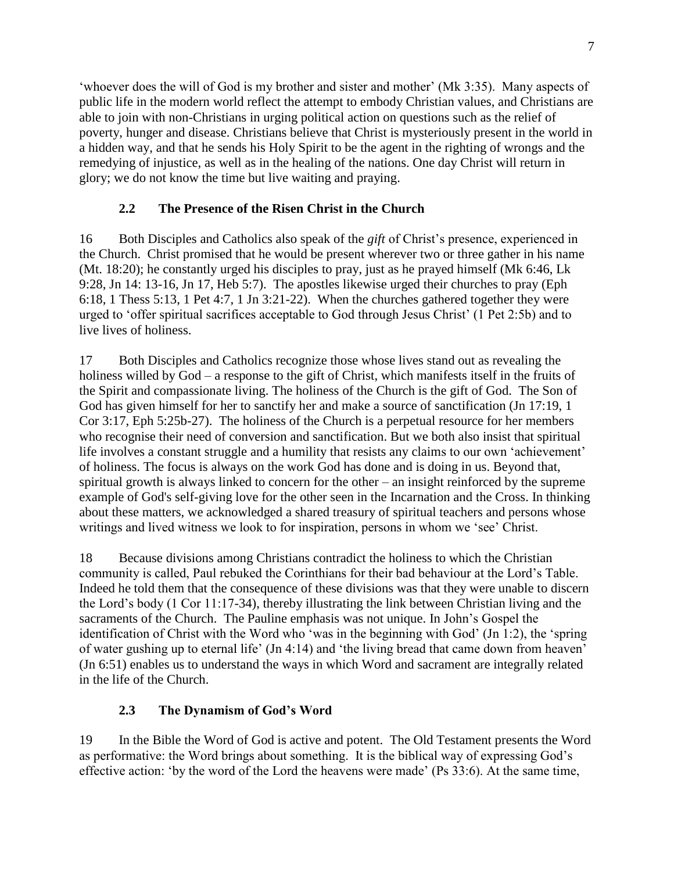'whoever does the will of God is my brother and sister and mother' (Mk 3:35). Many aspects of public life in the modern world reflect the attempt to embody Christian values, and Christians are able to join with non-Christians in urging political action on questions such as the relief of poverty, hunger and disease. Christians believe that Christ is mysteriously present in the world in a hidden way, and that he sends his Holy Spirit to be the agent in the righting of wrongs and the remedying of injustice, as well as in the healing of the nations. One day Christ will return in glory; we do not know the time but live waiting and praying.

## **2.2 The Presence of the Risen Christ in the Church**

16 Both Disciples and Catholics also speak of the *gift* of Christ's presence, experienced in the Church. Christ promised that he would be present wherever two or three gather in his name (Mt. 18:20); he constantly urged his disciples to pray, just as he prayed himself (Mk 6:46, Lk 9:28, Jn 14: 13-16, Jn 17, Heb 5:7). The apostles likewise urged their churches to pray (Eph 6:18, 1 Thess 5:13, 1 Pet 4:7, 1 Jn 3:21-22). When the churches gathered together they were urged to 'offer spiritual sacrifices acceptable to God through Jesus Christ' (1 Pet 2:5b) and to live lives of holiness.

17 Both Disciples and Catholics recognize those whose lives stand out as revealing the holiness willed by God – a response to the gift of Christ, which manifests itself in the fruits of the Spirit and compassionate living. The holiness of the Church is the gift of God. The Son of God has given himself for her to sanctify her and make a source of sanctification (Jn 17:19, 1 Cor 3:17, Eph 5:25b-27). The holiness of the Church is a perpetual resource for her members who recognise their need of conversion and sanctification. But we both also insist that spiritual life involves a constant struggle and a humility that resists any claims to our own 'achievement' of holiness. The focus is always on the work God has done and is doing in us. Beyond that, spiritual growth is always linked to concern for the other – an insight reinforced by the supreme example of God's self-giving love for the other seen in the Incarnation and the Cross. In thinking about these matters, we acknowledged a shared treasury of spiritual teachers and persons whose writings and lived witness we look to for inspiration, persons in whom we 'see' Christ.

18 Because divisions among Christians contradict the holiness to which the Christian community is called, Paul rebuked the Corinthians for their bad behaviour at the Lord's Table. Indeed he told them that the consequence of these divisions was that they were unable to discern the Lord's body (1 Cor 11:17-34), thereby illustrating the link between Christian living and the sacraments of the Church. The Pauline emphasis was not unique. In John's Gospel the identification of Christ with the Word who 'was in the beginning with God' (Jn 1:2), the 'spring of water gushing up to eternal life' (Jn 4:14) and 'the living bread that came down from heaven' (Jn 6:51) enables us to understand the ways in which Word and sacrament are integrally related in the life of the Church.

## **2.3 The Dynamism of God's Word**

19 In the Bible the Word of God is active and potent. The Old Testament presents the Word as performative: the Word brings about something. It is the biblical way of expressing God's effective action: 'by the word of the Lord the heavens were made' (Ps 33:6). At the same time,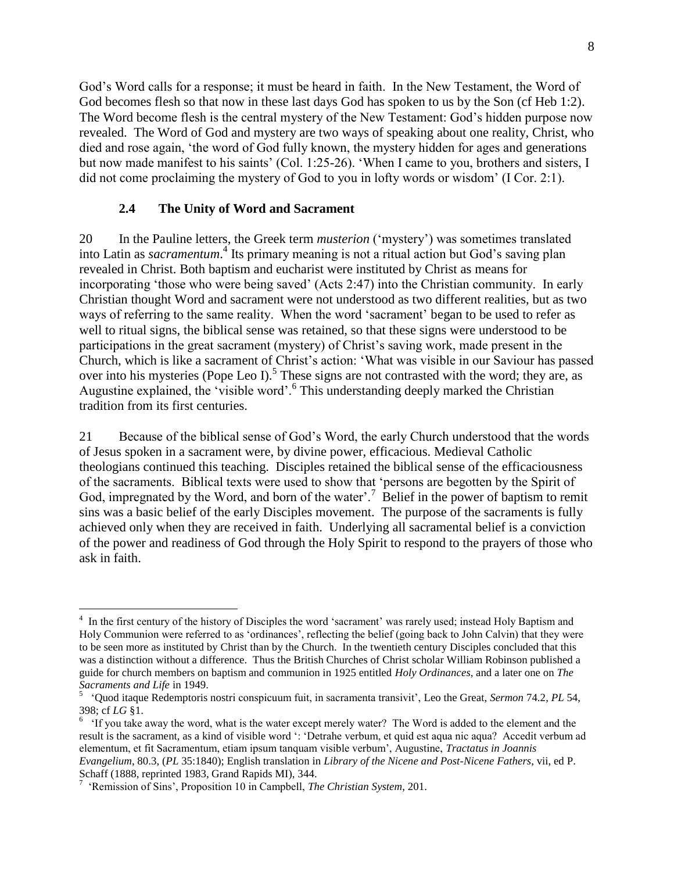God's Word calls for a response; it must be heard in faith. In the New Testament, the Word of God becomes flesh so that now in these last days God has spoken to us by the Son (cf Heb 1:2). The Word become flesh is the central mystery of the New Testament: God's hidden purpose now revealed. The Word of God and mystery are two ways of speaking about one reality, Christ, who died and rose again, 'the word of God fully known, the mystery hidden for ages and generations but now made manifest to his saints' (Col. 1:25-26). 'When I came to you, brothers and sisters, I did not come proclaiming the mystery of God to you in lofty words or wisdom' (I Cor. 2:1).

#### **2.4 The Unity of Word and Sacrament**

20 In the Pauline letters, the Greek term *musterion* ('mystery') was sometimes translated into Latin as *sacramentum*.<sup>4</sup> Its primary meaning is not a ritual action but God's saving plan revealed in Christ. Both baptism and eucharist were instituted by Christ as means for incorporating 'those who were being saved' (Acts 2:47) into the Christian community. In early Christian thought Word and sacrament were not understood as two different realities, but as two ways of referring to the same reality. When the word 'sacrament' began to be used to refer as well to ritual signs, the biblical sense was retained, so that these signs were understood to be participations in the great sacrament (mystery) of Christ's saving work, made present in the Church, which is like a sacrament of Christ's action: 'What was visible in our Saviour has passed over into his mysteries (Pope Leo I).<sup>5</sup> These signs are not contrasted with the word; they are, as Augustine explained, the 'visible word'.<sup>6</sup> This understanding deeply marked the Christian tradition from its first centuries.

21 Because of the biblical sense of God's Word, the early Church understood that the words of Jesus spoken in a sacrament were, by divine power, efficacious. Medieval Catholic theologians continued this teaching. Disciples retained the biblical sense of the efficaciousness of the sacraments. Biblical texts were used to show that 'persons are begotten by the Spirit of God, impregnated by the Word, and born of the water'.<sup>7</sup> Belief in the power of baptism to remit sins was a basic belief of the early Disciples movement. The purpose of the sacraments is fully achieved only when they are received in faith. Underlying all sacramental belief is a conviction of the power and readiness of God through the Holy Spirit to respond to the prayers of those who ask in faith.

<sup>&</sup>lt;sup>4</sup> In the first century of the history of Disciples the word 'sacrament' was rarely used; instead Holy Baptism and Holy Communion were referred to as 'ordinances', reflecting the belief (going back to John Calvin) that they were to be seen more as instituted by Christ than by the Church. In the twentieth century Disciples concluded that this was a distinction without a difference. Thus the British Churches of Christ scholar William Robinson published a guide for church members on baptism and communion in 1925 entitled *Holy Ordinances*, and a later one on *The Sacraments and Life* in 1949.

<sup>5</sup> 'Quod itaque Redemptoris nostri conspicuum fuit, in sacramenta transivit', Leo the Great, *Sermon* 74.2*, PL* 54, 398; cf *LG* §1.

<sup>&</sup>lt;sup>6</sup> 'If you take away the word, what is the water except merely water? The Word is added to the element and the result is the sacrament, as a kind of visible word ': 'Detrahe verbum, et quid est aqua nic aqua? Accedit verbum ad elementum, et fit Sacramentum, etiam ipsum tanquam visible verbum', Augustine, *Tractatus in Joannis Evangelium*, 80.3, (*PL* 35:1840); English translation in *Library of the Nicene and Post-Nicene Fathers*, vii, ed P. Schaff (1888, reprinted 1983, Grand Rapids MI), 344.

<sup>7</sup> 'Remission of Sins', Proposition 10 in Campbell, *The Christian System*, 201.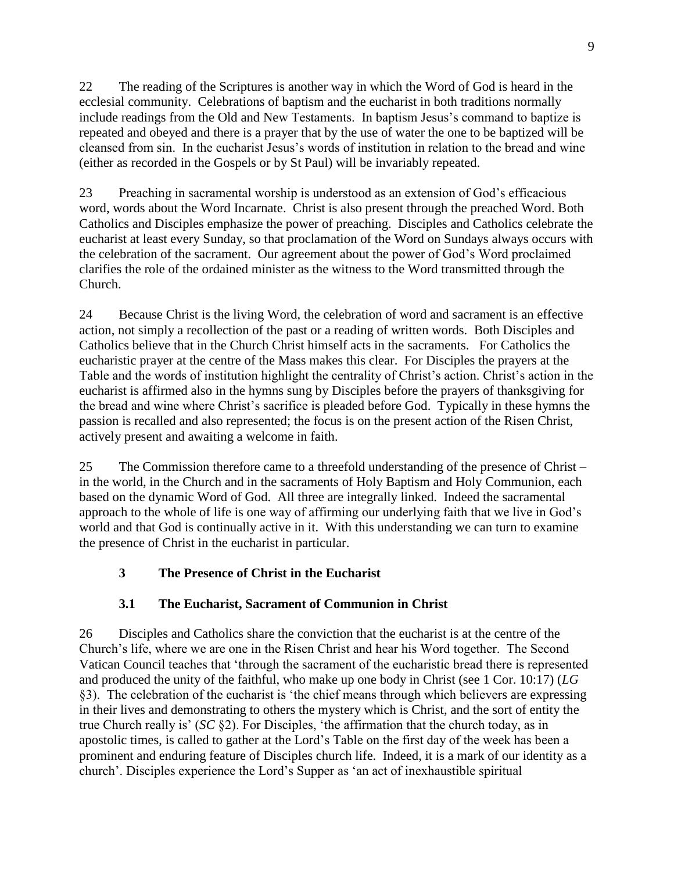22 The reading of the Scriptures is another way in which the Word of God is heard in the ecclesial community. Celebrations of baptism and the eucharist in both traditions normally include readings from the Old and New Testaments. In baptism Jesus's command to baptize is repeated and obeyed and there is a prayer that by the use of water the one to be baptized will be cleansed from sin. In the eucharist Jesus's words of institution in relation to the bread and wine (either as recorded in the Gospels or by St Paul) will be invariably repeated.

23 Preaching in sacramental worship is understood as an extension of God's efficacious word, words about the Word Incarnate. Christ is also present through the preached Word. Both Catholics and Disciples emphasize the power of preaching. Disciples and Catholics celebrate the eucharist at least every Sunday, so that proclamation of the Word on Sundays always occurs with the celebration of the sacrament. Our agreement about the power of God's Word proclaimed clarifies the role of the ordained minister as the witness to the Word transmitted through the Church.

24 Because Christ is the living Word, the celebration of word and sacrament is an effective action, not simply a recollection of the past or a reading of written words. Both Disciples and Catholics believe that in the Church Christ himself acts in the sacraments. For Catholics the eucharistic prayer at the centre of the Mass makes this clear. For Disciples the prayers at the Table and the words of institution highlight the centrality of Christ's action. Christ's action in the eucharist is affirmed also in the hymns sung by Disciples before the prayers of thanksgiving for the bread and wine where Christ's sacrifice is pleaded before God. Typically in these hymns the passion is recalled and also represented; the focus is on the present action of the Risen Christ, actively present and awaiting a welcome in faith.

25 The Commission therefore came to a threefold understanding of the presence of Christ – in the world, in the Church and in the sacraments of Holy Baptism and Holy Communion, each based on the dynamic Word of God. All three are integrally linked. Indeed the sacramental approach to the whole of life is one way of affirming our underlying faith that we live in God's world and that God is continually active in it. With this understanding we can turn to examine the presence of Christ in the eucharist in particular.

# **3 The Presence of Christ in the Eucharist**

## **3.1 The Eucharist, Sacrament of Communion in Christ**

26 Disciples and Catholics share the conviction that the eucharist is at the centre of the Church's life, where we are one in the Risen Christ and hear his Word together. The Second Vatican Council teaches that 'through the sacrament of the eucharistic bread there is represented and produced the unity of the faithful, who make up one body in Christ (see 1 Cor. 10:17) (*LG* §3). The celebration of the eucharist is 'the chief means through which believers are expressing in their lives and demonstrating to others the mystery which is Christ, and the sort of entity the true Church really is' (*SC* §2). For Disciples, 'the affirmation that the church today, as in apostolic times, is called to gather at the Lord's Table on the first day of the week has been a prominent and enduring feature of Disciples church life. Indeed, it is a mark of our identity as a church'. Disciples experience the Lord's Supper as 'an act of inexhaustible spiritual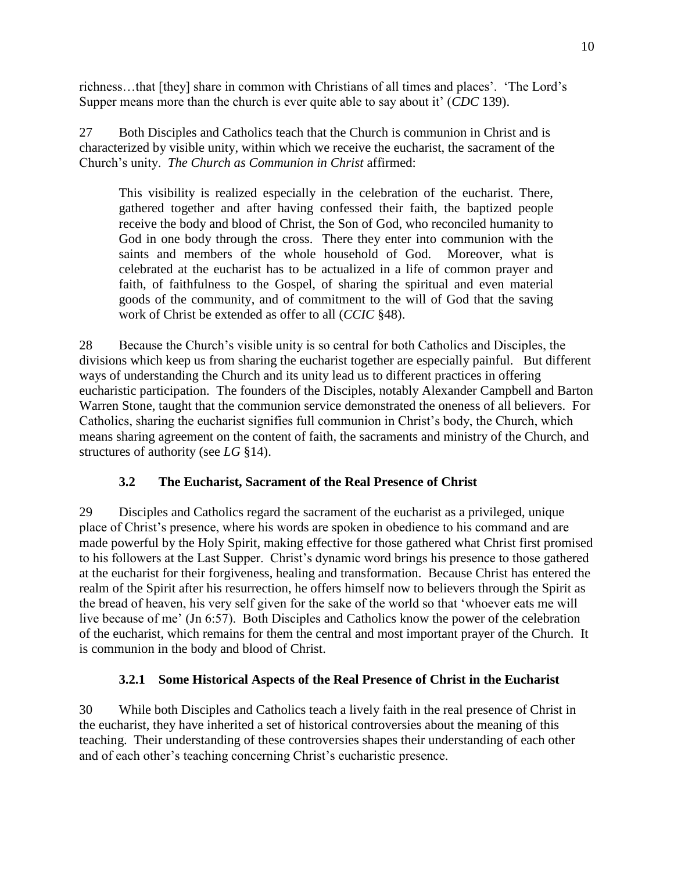richness…that [they] share in common with Christians of all times and places'. 'The Lord's Supper means more than the church is ever quite able to say about it' (*CDC* 139).

27 Both Disciples and Catholics teach that the Church is communion in Christ and is characterized by visible unity, within which we receive the eucharist, the sacrament of the Church's unity. *The Church as Communion in Christ* affirmed:

This visibility is realized especially in the celebration of the eucharist. There, gathered together and after having confessed their faith, the baptized people receive the body and blood of Christ, the Son of God, who reconciled humanity to God in one body through the cross. There they enter into communion with the saints and members of the whole household of God. Moreover, what is celebrated at the eucharist has to be actualized in a life of common prayer and faith, of faithfulness to the Gospel, of sharing the spiritual and even material goods of the community, and of commitment to the will of God that the saving work of Christ be extended as offer to all (*CCIC* §48).

28 Because the Church's visible unity is so central for both Catholics and Disciples, the divisions which keep us from sharing the eucharist together are especially painful. But different ways of understanding the Church and its unity lead us to different practices in offering eucharistic participation. The founders of the Disciples, notably Alexander Campbell and Barton Warren Stone, taught that the communion service demonstrated the oneness of all believers. For Catholics, sharing the eucharist signifies full communion in Christ's body, the Church, which means sharing agreement on the content of faith, the sacraments and ministry of the Church, and structures of authority (see *LG* §14).

## **3.2 The Eucharist, Sacrament of the Real Presence of Christ**

29 Disciples and Catholics regard the sacrament of the eucharist as a privileged, unique place of Christ's presence, where his words are spoken in obedience to his command and are made powerful by the Holy Spirit, making effective for those gathered what Christ first promised to his followers at the Last Supper. Christ's dynamic word brings his presence to those gathered at the eucharist for their forgiveness, healing and transformation. Because Christ has entered the realm of the Spirit after his resurrection, he offers himself now to believers through the Spirit as the bread of heaven, his very self given for the sake of the world so that 'whoever eats me will live because of me' (Jn 6:57). Both Disciples and Catholics know the power of the celebration of the eucharist, which remains for them the central and most important prayer of the Church. It is communion in the body and blood of Christ.

### **3.2.1 Some Historical Aspects of the Real Presence of Christ in the Eucharist**

30 While both Disciples and Catholics teach a lively faith in the real presence of Christ in the eucharist, they have inherited a set of historical controversies about the meaning of this teaching. Their understanding of these controversies shapes their understanding of each other and of each other's teaching concerning Christ's eucharistic presence.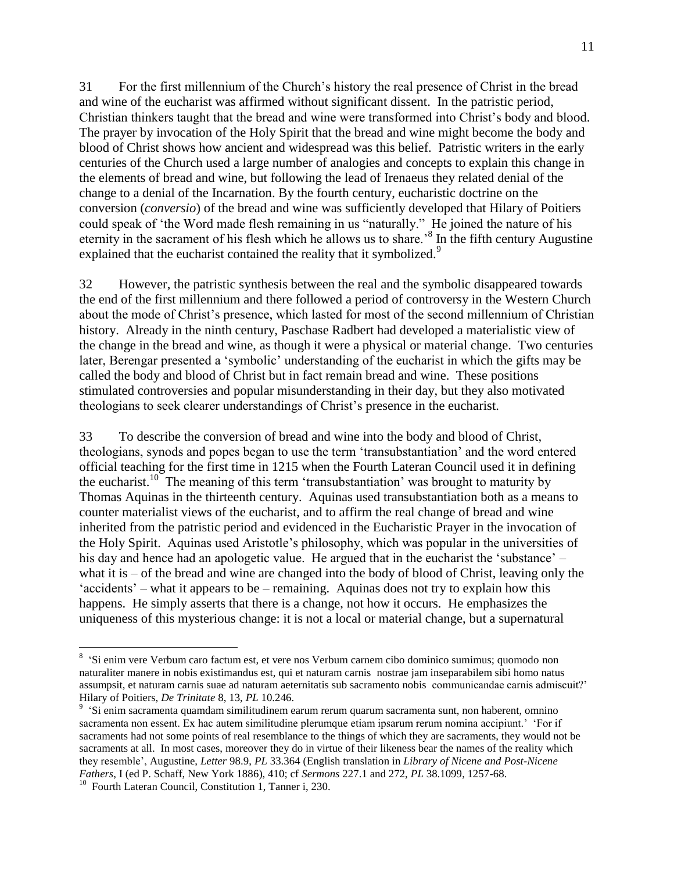31 For the first millennium of the Church's history the real presence of Christ in the bread and wine of the eucharist was affirmed without significant dissent. In the patristic period, Christian thinkers taught that the bread and wine were transformed into Christ's body and blood. The prayer by invocation of the Holy Spirit that the bread and wine might become the body and blood of Christ shows how ancient and widespread was this belief. Patristic writers in the early centuries of the Church used a large number of analogies and concepts to explain this change in the elements of bread and wine, but following the lead of Irenaeus they related denial of the change to a denial of the Incarnation. By the fourth century, eucharistic doctrine on the conversion (*conversio*) of the bread and wine was sufficiently developed that Hilary of Poitiers could speak of 'the Word made flesh remaining in us "naturally." He joined the nature of his eternity in the sacrament of his flesh which he allows us to share.<sup>8</sup> In the fifth century Augustine explained that the eucharist contained the reality that it symbolized.<sup>9</sup>

32 However, the patristic synthesis between the real and the symbolic disappeared towards the end of the first millennium and there followed a period of controversy in the Western Church about the mode of Christ's presence, which lasted for most of the second millennium of Christian history. Already in the ninth century, Paschase Radbert had developed a materialistic view of the change in the bread and wine, as though it were a physical or material change. Two centuries later, Berengar presented a 'symbolic' understanding of the eucharist in which the gifts may be called the body and blood of Christ but in fact remain bread and wine. These positions stimulated controversies and popular misunderstanding in their day, but they also motivated theologians to seek clearer understandings of Christ's presence in the eucharist.

33 To describe the conversion of bread and wine into the body and blood of Christ, theologians, synods and popes began to use the term 'transubstantiation' and the word entered official teaching for the first time in 1215 when the Fourth Lateran Council used it in defining the eucharist.<sup>10</sup> The meaning of this term 'transubstantiation' was brought to maturity by Thomas Aquinas in the thirteenth century. Aquinas used transubstantiation both as a means to counter materialist views of the eucharist, and to affirm the real change of bread and wine inherited from the patristic period and evidenced in the Eucharistic Prayer in the invocation of the Holy Spirit. Aquinas used Aristotle's philosophy, which was popular in the universities of his day and hence had an apologetic value. He argued that in the eucharist the 'substance' – what it is – of the bread and wine are changed into the body of blood of Christ, leaving only the 'accidents' – what it appears to be – remaining. Aquinas does not try to explain how this happens. He simply asserts that there is a change, not how it occurs. He emphasizes the uniqueness of this mysterious change: it is not a local or material change, but a supernatural

<sup>&</sup>lt;sup>8</sup> 'Si enim vere Verbum caro factum est, et vere nos Verbum carnem cibo dominico sumimus; quomodo non naturaliter manere in nobis existimandus est, qui et naturam carnis nostrae jam inseparabilem sibi homo natus assumpsit, et naturam carnis suae ad naturam aeternitatis sub sacramento nobis communicandae carnis admiscuit?' Hilary of Poitiers, *De Trinitate* 8, 13, *PL* 10.246.

<sup>&</sup>lt;sup>9</sup> 'Si enim sacramenta quamdam similitudinem earum rerum quarum sacramenta sunt, non haberent, omnino sacramenta non essent. Ex hac autem similitudine plerumque etiam ipsarum rerum nomina accipiunt.' 'For if sacraments had not some points of real resemblance to the things of which they are sacraments, they would not be sacraments at all. In most cases, moreover they do in virtue of their likeness bear the names of the reality which they resemble', Augustine, *Letter* 98.9, *PL* 33.364 (English translation in *Library of Nicene and Post-Nicene Fathers*, I (ed P. Schaff, New York 1886), 410; cf *Sermons* 227.1 and 272, *PL* 38.1099, 1257-68.

<sup>&</sup>lt;sup>10</sup> Fourth Lateran Council, Constitution 1, Tanner i, 230.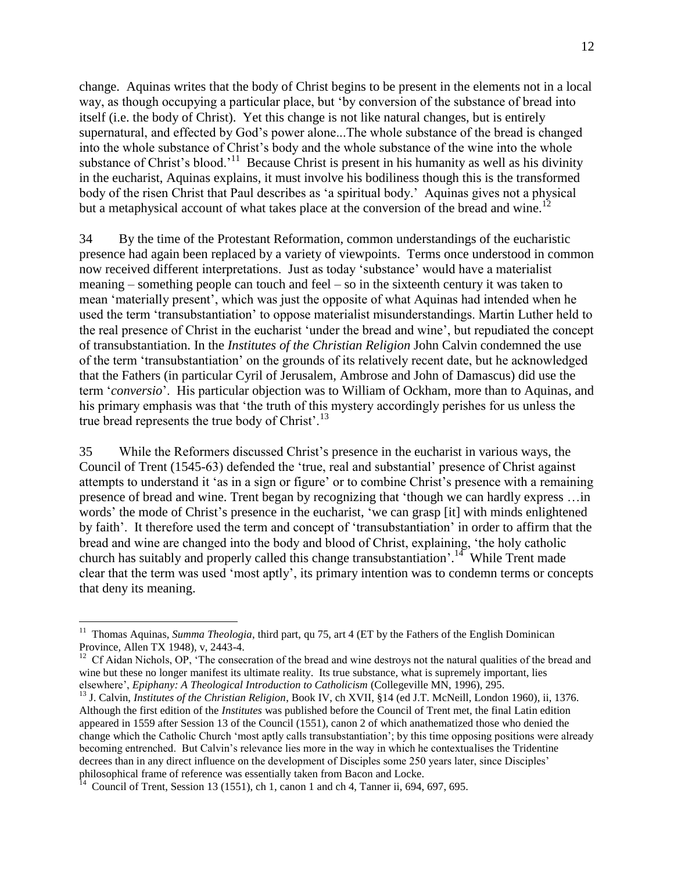change. Aquinas writes that the body of Christ begins to be present in the elements not in a local way, as though occupying a particular place, but 'by conversion of the substance of bread into itself (i.e. the body of Christ). Yet this change is not like natural changes, but is entirely supernatural, and effected by God's power alone...The whole substance of the bread is changed into the whole substance of Christ's body and the whole substance of the wine into the whole substance of Christ's blood.<sup>11</sup> Because Christ is present in his humanity as well as his divinity in the eucharist, Aquinas explains, it must involve his bodiliness though this is the transformed body of the risen Christ that Paul describes as 'a spiritual body.' Aquinas gives not a physical but a metaphysical account of what takes place at the conversion of the bread and wine.<sup>12</sup>

34 By the time of the Protestant Reformation, common understandings of the eucharistic presence had again been replaced by a variety of viewpoints. Terms once understood in common now received different interpretations. Just as today 'substance' would have a materialist meaning – something people can touch and feel – so in the sixteenth century it was taken to mean 'materially present', which was just the opposite of what Aquinas had intended when he used the term 'transubstantiation' to oppose materialist misunderstandings. Martin Luther held to the real presence of Christ in the eucharist 'under the bread and wine', but repudiated the concept of transubstantiation. In the *Institutes of the Christian Religion* John Calvin condemned the use of the term 'transubstantiation' on the grounds of its relatively recent date, but he acknowledged that the Fathers (in particular Cyril of Jerusalem, Ambrose and John of Damascus) did use the term '*conversio*'. His particular objection was to William of Ockham, more than to Aquinas, and his primary emphasis was that 'the truth of this mystery accordingly perishes for us unless the true bread represents the true body of Christ'. $^{13}$ 

35 While the Reformers discussed Christ's presence in the eucharist in various ways, the Council of Trent (1545-63) defended the 'true, real and substantial' presence of Christ against attempts to understand it 'as in a sign or figure' or to combine Christ's presence with a remaining presence of bread and wine. Trent began by recognizing that 'though we can hardly express …in words' the mode of Christ's presence in the eucharist, 'we can grasp [it] with minds enlightened by faith'. It therefore used the term and concept of 'transubstantiation' in order to affirm that the bread and wine are changed into the body and blood of Christ, explaining, 'the holy catholic church has suitably and properly called this change transubstantiation'.<sup>14</sup> While Trent made clear that the term was used 'most aptly', its primary intention was to condemn terms or concepts that deny its meaning.

<sup>&</sup>lt;sup>11</sup> Thomas Aquinas, *Summa Theologia*, third part, qu 75, art 4 (ET by the Fathers of the English Dominican Province, Allen TX 1948), v, 2443-4.

 $12$  Cf Aidan Nichols, OP, 'The consecration of the bread and wine destroys not the natural qualities of the bread and wine but these no longer manifest its ultimate reality. Its true substance, what is supremely important, lies elsewhere', *Epiphany: A Theological Introduction to Catholicism* (Collegeville MN, 1996), 295.

<sup>&</sup>lt;sup>13</sup> J. Calvin, *Institutes of the Christian Religion*, Book IV, ch XVII, §14 (ed J.T. McNeill, London 1960), ii, 1376. Although the first edition of the *Institutes* was published before the Council of Trent met, the final Latin edition appeared in 1559 after Session 13 of the Council (1551), canon 2 of which anathematized those who denied the change which the Catholic Church 'most aptly calls transubstantiation'; by this time opposing positions were already becoming entrenched. But Calvin's relevance lies more in the way in which he contextualises the Tridentine decrees than in any direct influence on the development of Disciples some 250 years later, since Disciples' philosophical frame of reference was essentially taken from Bacon and Locke.<br><sup>14</sup> Council of Trent, Session 13 (1551), ch 1, canon 1 and ch 4, Tanner ii, 694, 697, 695.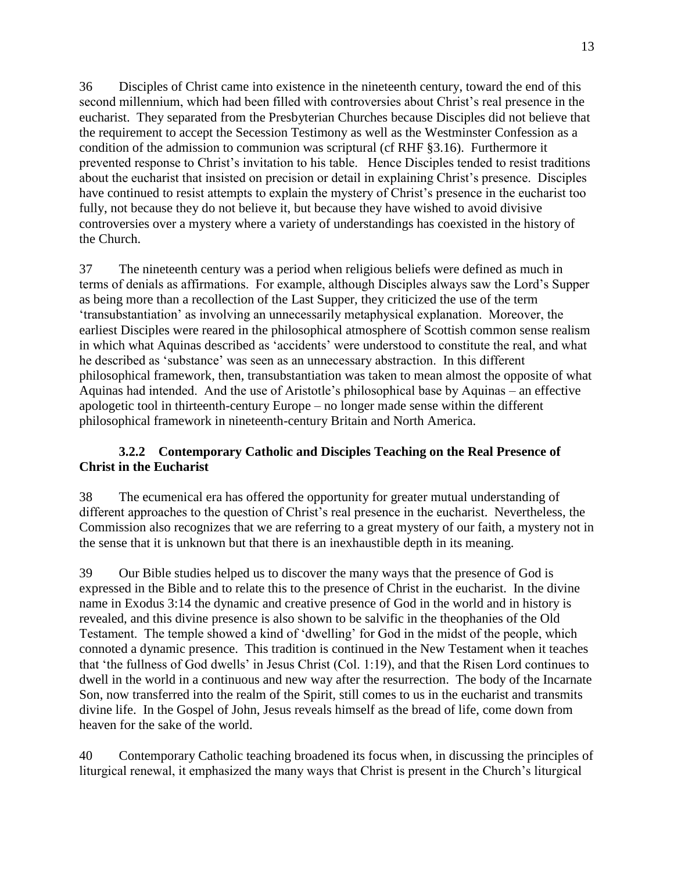36 Disciples of Christ came into existence in the nineteenth century, toward the end of this second millennium, which had been filled with controversies about Christ's real presence in the eucharist. They separated from the Presbyterian Churches because Disciples did not believe that the requirement to accept the Secession Testimony as well as the Westminster Confession as a condition of the admission to communion was scriptural (cf RHF §3.16). Furthermore it prevented response to Christ's invitation to his table. Hence Disciples tended to resist traditions about the eucharist that insisted on precision or detail in explaining Christ's presence. Disciples have continued to resist attempts to explain the mystery of Christ's presence in the eucharist too fully, not because they do not believe it, but because they have wished to avoid divisive controversies over a mystery where a variety of understandings has coexisted in the history of the Church.

37 The nineteenth century was a period when religious beliefs were defined as much in terms of denials as affirmations. For example, although Disciples always saw the Lord's Supper as being more than a recollection of the Last Supper, they criticized the use of the term 'transubstantiation' as involving an unnecessarily metaphysical explanation. Moreover, the earliest Disciples were reared in the philosophical atmosphere of Scottish common sense realism in which what Aquinas described as 'accidents' were understood to constitute the real, and what he described as 'substance' was seen as an unnecessary abstraction. In this different philosophical framework, then, transubstantiation was taken to mean almost the opposite of what Aquinas had intended. And the use of Aristotle's philosophical base by Aquinas – an effective apologetic tool in thirteenth-century Europe – no longer made sense within the different philosophical framework in nineteenth-century Britain and North America.

### **3.2.2 Contemporary Catholic and Disciples Teaching on the Real Presence of Christ in the Eucharist**

38 The ecumenical era has offered the opportunity for greater mutual understanding of different approaches to the question of Christ's real presence in the eucharist. Nevertheless, the Commission also recognizes that we are referring to a great mystery of our faith, a mystery not in the sense that it is unknown but that there is an inexhaustible depth in its meaning.

39 Our Bible studies helped us to discover the many ways that the presence of God is expressed in the Bible and to relate this to the presence of Christ in the eucharist. In the divine name in Exodus 3:14 the dynamic and creative presence of God in the world and in history is revealed, and this divine presence is also shown to be salvific in the theophanies of the Old Testament. The temple showed a kind of 'dwelling' for God in the midst of the people, which connoted a dynamic presence. This tradition is continued in the New Testament when it teaches that 'the fullness of God dwells' in Jesus Christ (Col. 1:19), and that the Risen Lord continues to dwell in the world in a continuous and new way after the resurrection. The body of the Incarnate Son, now transferred into the realm of the Spirit, still comes to us in the eucharist and transmits divine life. In the Gospel of John, Jesus reveals himself as the bread of life, come down from heaven for the sake of the world.

40 Contemporary Catholic teaching broadened its focus when, in discussing the principles of liturgical renewal, it emphasized the many ways that Christ is present in the Church's liturgical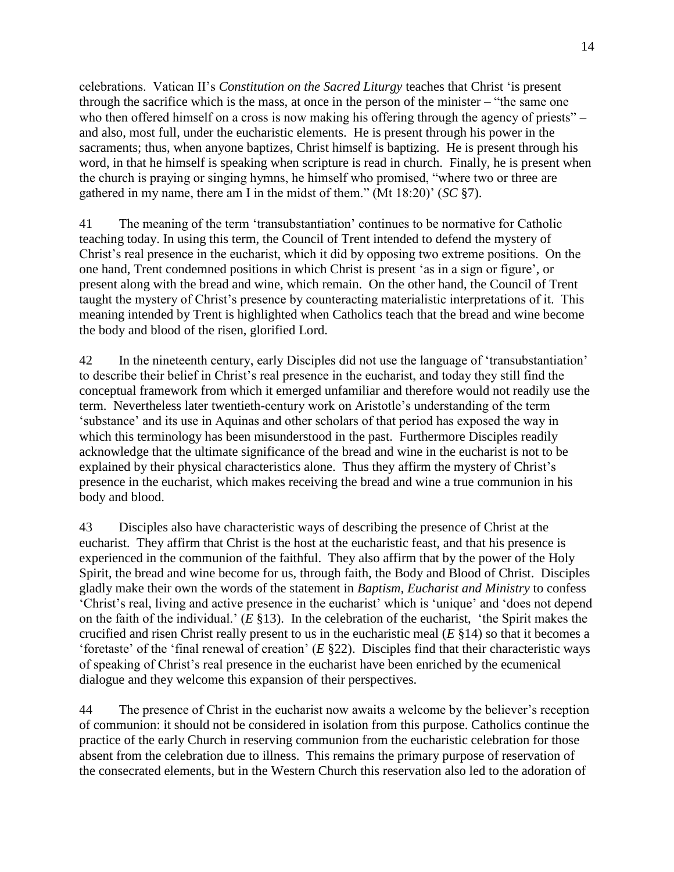celebrations. Vatican II's *Constitution on the Sacred Liturgy* teaches that Christ 'is present through the sacrifice which is the mass, at once in the person of the minister  $-$  "the same one who then offered himself on a cross is now making his offering through the agency of priests" – and also, most full, under the eucharistic elements. He is present through his power in the sacraments; thus, when anyone baptizes, Christ himself is baptizing. He is present through his word, in that he himself is speaking when scripture is read in church. Finally, he is present when the church is praying or singing hymns, he himself who promised, "where two or three are gathered in my name, there am I in the midst of them." (Mt 18:20)' (*SC* §7).

41 The meaning of the term 'transubstantiation' continues to be normative for Catholic teaching today. In using this term, the Council of Trent intended to defend the mystery of Christ's real presence in the eucharist, which it did by opposing two extreme positions. On the one hand, Trent condemned positions in which Christ is present 'as in a sign or figure', or present along with the bread and wine, which remain. On the other hand, the Council of Trent taught the mystery of Christ's presence by counteracting materialistic interpretations of it. This meaning intended by Trent is highlighted when Catholics teach that the bread and wine become the body and blood of the risen, glorified Lord.

42 In the nineteenth century, early Disciples did not use the language of 'transubstantiation' to describe their belief in Christ's real presence in the eucharist, and today they still find the conceptual framework from which it emerged unfamiliar and therefore would not readily use the term. Nevertheless later twentieth-century work on Aristotle's understanding of the term 'substance' and its use in Aquinas and other scholars of that period has exposed the way in which this terminology has been misunderstood in the past. Furthermore Disciples readily acknowledge that the ultimate significance of the bread and wine in the eucharist is not to be explained by their physical characteristics alone. Thus they affirm the mystery of Christ's presence in the eucharist, which makes receiving the bread and wine a true communion in his body and blood.

43 Disciples also have characteristic ways of describing the presence of Christ at the eucharist. They affirm that Christ is the host at the eucharistic feast, and that his presence is experienced in the communion of the faithful. They also affirm that by the power of the Holy Spirit, the bread and wine become for us, through faith, the Body and Blood of Christ. Disciples gladly make their own the words of the statement in *Baptism, Eucharist and Ministry* to confess 'Christ's real, living and active presence in the eucharist' which is 'unique' and 'does not depend on the faith of the individual.' (*E* §13). In the celebration of the eucharist, 'the Spirit makes the crucified and risen Christ really present to us in the eucharistic meal (*E* §14) so that it becomes a 'foretaste' of the 'final renewal of creation' (*E* §22). Disciples find that their characteristic ways of speaking of Christ's real presence in the eucharist have been enriched by the ecumenical dialogue and they welcome this expansion of their perspectives.

44 The presence of Christ in the eucharist now awaits a welcome by the believer's reception of communion: it should not be considered in isolation from this purpose. Catholics continue the practice of the early Church in reserving communion from the eucharistic celebration for those absent from the celebration due to illness. This remains the primary purpose of reservation of the consecrated elements, but in the Western Church this reservation also led to the adoration of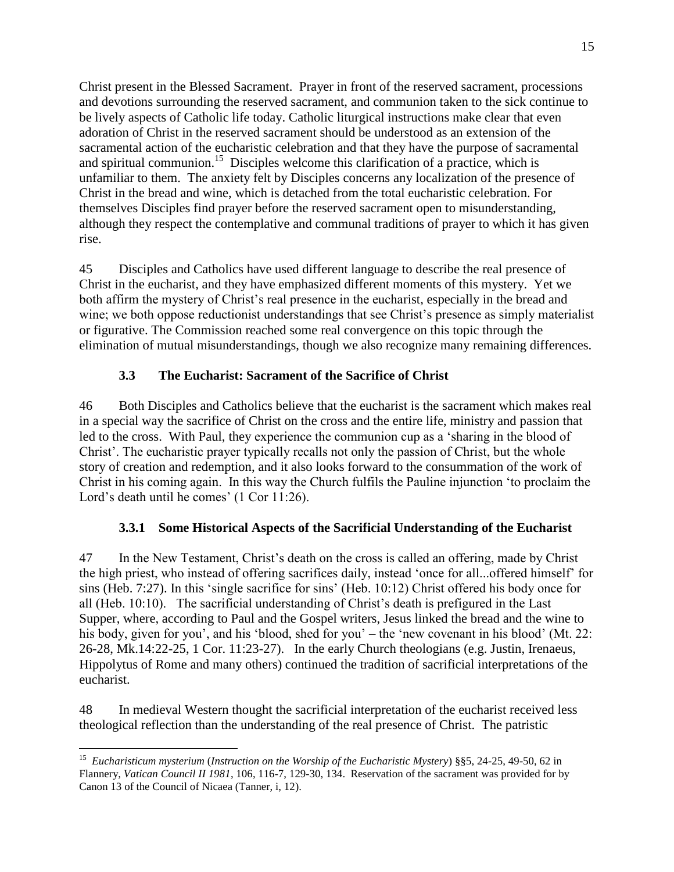Christ present in the Blessed Sacrament. Prayer in front of the reserved sacrament, processions and devotions surrounding the reserved sacrament, and communion taken to the sick continue to be lively aspects of Catholic life today. Catholic liturgical instructions make clear that even adoration of Christ in the reserved sacrament should be understood as an extension of the sacramental action of the eucharistic celebration and that they have the purpose of sacramental and spiritual communion.<sup>15</sup> Disciples welcome this clarification of a practice, which is unfamiliar to them. The anxiety felt by Disciples concerns any localization of the presence of Christ in the bread and wine, which is detached from the total eucharistic celebration. For themselves Disciples find prayer before the reserved sacrament open to misunderstanding, although they respect the contemplative and communal traditions of prayer to which it has given rise.

45 Disciples and Catholics have used different language to describe the real presence of Christ in the eucharist, and they have emphasized different moments of this mystery. Yet we both affirm the mystery of Christ's real presence in the eucharist, especially in the bread and wine; we both oppose reductionist understandings that see Christ's presence as simply materialist or figurative. The Commission reached some real convergence on this topic through the elimination of mutual misunderstandings, though we also recognize many remaining differences.

# **3.3 The Eucharist: Sacrament of the Sacrifice of Christ**

46 Both Disciples and Catholics believe that the eucharist is the sacrament which makes real in a special way the sacrifice of Christ on the cross and the entire life, ministry and passion that led to the cross. With Paul, they experience the communion cup as a 'sharing in the blood of Christ'. The eucharistic prayer typically recalls not only the passion of Christ, but the whole story of creation and redemption, and it also looks forward to the consummation of the work of Christ in his coming again. In this way the Church fulfils the Pauline injunction 'to proclaim the Lord's death until he comes' (1 Cor 11:26).

## **3.3.1 Some Historical Aspects of the Sacrificial Understanding of the Eucharist**

47 In the New Testament, Christ's death on the cross is called an offering, made by Christ the high priest, who instead of offering sacrifices daily, instead 'once for all...offered himself' for sins (Heb. 7:27). In this 'single sacrifice for sins' (Heb. 10:12) Christ offered his body once for all (Heb. 10:10). The sacrificial understanding of Christ's death is prefigured in the Last Supper, where, according to Paul and the Gospel writers, Jesus linked the bread and the wine to his body, given for you', and his 'blood, shed for you' – the 'new covenant in his blood' (Mt. 22: 26-28, Mk.14:22-25, 1 Cor. 11:23-27). In the early Church theologians (e.g. Justin, Irenaeus, Hippolytus of Rome and many others) continued the tradition of sacrificial interpretations of the eucharist.

48 In medieval Western thought the sacrificial interpretation of the eucharist received less theological reflection than the understanding of the real presence of Christ. The patristic

 $\overline{a}$ 15 *Eucharisticum mysterium* (*Instruction on the Worship of the Eucharistic Mystery*) §§5, 24-25, 49-50, 62 in Flannery, *Vatican Council II 1981*, 106, 116-7, 129-30, 134. Reservation of the sacrament was provided for by Canon 13 of the Council of Nicaea (Tanner, i, 12).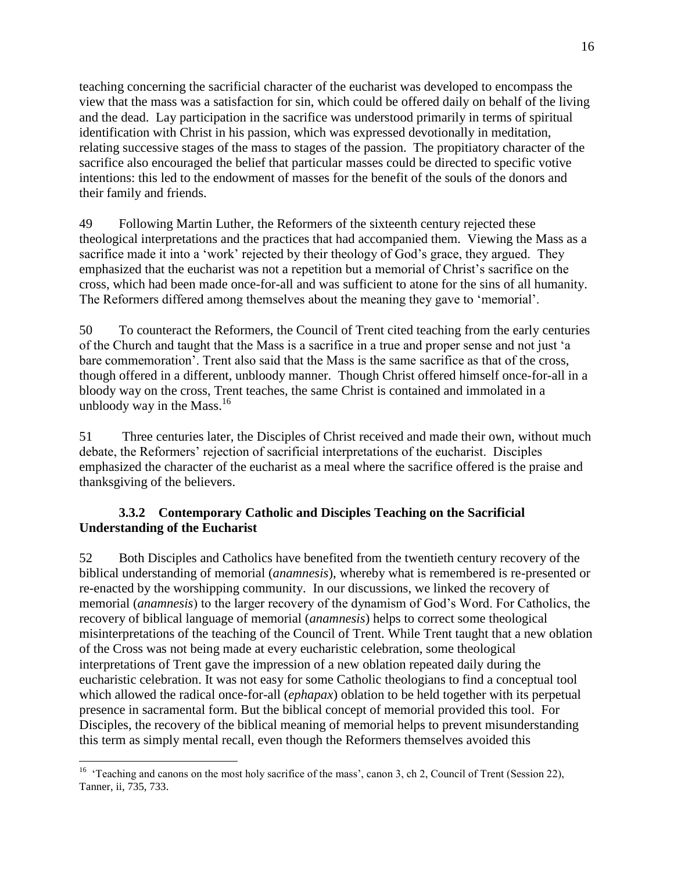teaching concerning the sacrificial character of the eucharist was developed to encompass the view that the mass was a satisfaction for sin, which could be offered daily on behalf of the living and the dead. Lay participation in the sacrifice was understood primarily in terms of spiritual identification with Christ in his passion, which was expressed devotionally in meditation, relating successive stages of the mass to stages of the passion. The propitiatory character of the sacrifice also encouraged the belief that particular masses could be directed to specific votive intentions: this led to the endowment of masses for the benefit of the souls of the donors and their family and friends.

49 Following Martin Luther, the Reformers of the sixteenth century rejected these theological interpretations and the practices that had accompanied them. Viewing the Mass as a sacrifice made it into a 'work' rejected by their theology of God's grace, they argued. They emphasized that the eucharist was not a repetition but a memorial of Christ's sacrifice on the cross, which had been made once-for-all and was sufficient to atone for the sins of all humanity. The Reformers differed among themselves about the meaning they gave to 'memorial'.

50 To counteract the Reformers, the Council of Trent cited teaching from the early centuries of the Church and taught that the Mass is a sacrifice in a true and proper sense and not just 'a bare commemoration'. Trent also said that the Mass is the same sacrifice as that of the cross, though offered in a different, unbloody manner. Though Christ offered himself once-for-all in a bloody way on the cross, Trent teaches, the same Christ is contained and immolated in a unbloody way in the Mass. $16$ 

51 Three centuries later, the Disciples of Christ received and made their own, without much debate, the Reformers' rejection of sacrificial interpretations of the eucharist. Disciples emphasized the character of the eucharist as a meal where the sacrifice offered is the praise and thanksgiving of the believers.

### **3.3.2 Contemporary Catholic and Disciples Teaching on the Sacrificial Understanding of the Eucharist**

52 Both Disciples and Catholics have benefited from the twentieth century recovery of the biblical understanding of memorial (*anamnesis*), whereby what is remembered is re-presented or re-enacted by the worshipping community. In our discussions, we linked the recovery of memorial (*anamnesis*) to the larger recovery of the dynamism of God's Word. For Catholics, the recovery of biblical language of memorial (*anamnesis*) helps to correct some theological misinterpretations of the teaching of the Council of Trent. While Trent taught that a new oblation of the Cross was not being made at every eucharistic celebration, some theological interpretations of Trent gave the impression of a new oblation repeated daily during the eucharistic celebration. It was not easy for some Catholic theologians to find a conceptual tool which allowed the radical once-for-all (*ephapax*) oblation to be held together with its perpetual presence in sacramental form. But the biblical concept of memorial provided this tool. For Disciples, the recovery of the biblical meaning of memorial helps to prevent misunderstanding this term as simply mental recall, even though the Reformers themselves avoided this

<sup>&</sup>lt;sup>16</sup> 'Teaching and canons on the most holy sacrifice of the mass', canon 3, ch 2, Council of Trent (Session 22), Tanner, ii, 735, 733.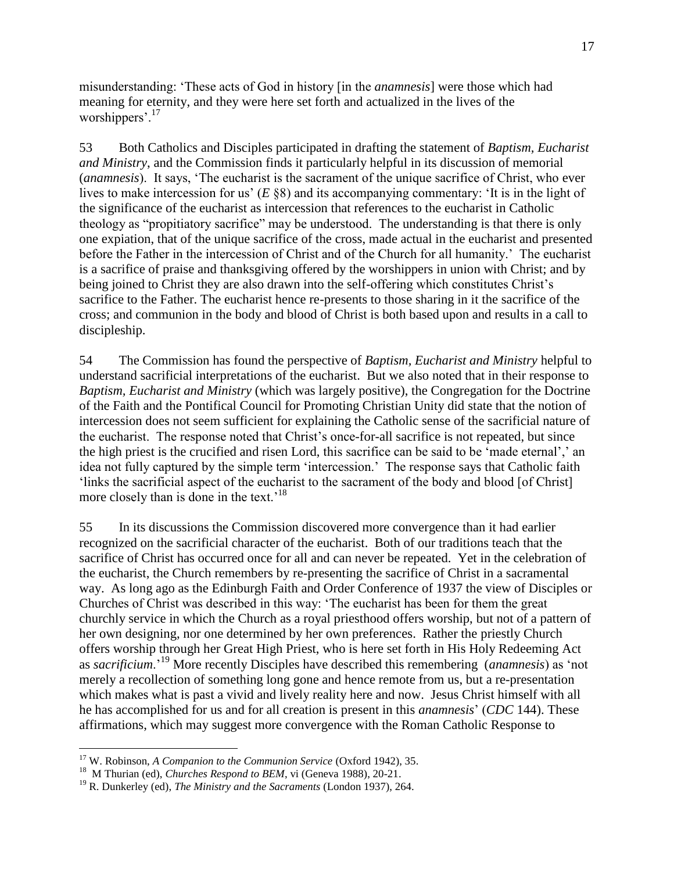misunderstanding: 'These acts of God in history [in the *anamnesis*] were those which had meaning for eternity, and they were here set forth and actualized in the lives of the worshippers'.<sup>17</sup>

53 Both Catholics and Disciples participated in drafting the statement of *Baptism, Eucharist and Ministry*, and the Commission finds it particularly helpful in its discussion of memorial (*anamnesis*). It says, 'The eucharist is the sacrament of the unique sacrifice of Christ, who ever lives to make intercession for us' (*E* §8) and its accompanying commentary: 'It is in the light of the significance of the eucharist as intercession that references to the eucharist in Catholic theology as "propitiatory sacrifice" may be understood. The understanding is that there is only one expiation, that of the unique sacrifice of the cross, made actual in the eucharist and presented before the Father in the intercession of Christ and of the Church for all humanity.' The eucharist is a sacrifice of praise and thanksgiving offered by the worshippers in union with Christ; and by being joined to Christ they are also drawn into the self-offering which constitutes Christ's sacrifice to the Father. The eucharist hence re-presents to those sharing in it the sacrifice of the cross; and communion in the body and blood of Christ is both based upon and results in a call to discipleship.

54 The Commission has found the perspective of *Baptism, Eucharist and Ministry* helpful to understand sacrificial interpretations of the eucharist. But we also noted that in their response to *Baptism, Eucharist and Ministry* (which was largely positive), the Congregation for the Doctrine of the Faith and the Pontifical Council for Promoting Christian Unity did state that the notion of intercession does not seem sufficient for explaining the Catholic sense of the sacrificial nature of the eucharist. The response noted that Christ's once-for-all sacrifice is not repeated, but since the high priest is the crucified and risen Lord, this sacrifice can be said to be 'made eternal',' an idea not fully captured by the simple term 'intercession.' The response says that Catholic faith 'links the sacrificial aspect of the eucharist to the sacrament of the body and blood [of Christ] more closely than is done in the text.<sup>18</sup>

55 In its discussions the Commission discovered more convergence than it had earlier recognized on the sacrificial character of the eucharist. Both of our traditions teach that the sacrifice of Christ has occurred once for all and can never be repeated. Yet in the celebration of the eucharist, the Church remembers by re-presenting the sacrifice of Christ in a sacramental way. As long ago as the Edinburgh Faith and Order Conference of 1937 the view of Disciples or Churches of Christ was described in this way: 'The eucharist has been for them the great churchly service in which the Church as a royal priesthood offers worship, but not of a pattern of her own designing, nor one determined by her own preferences. Rather the priestly Church offers worship through her Great High Priest, who is here set forth in His Holy Redeeming Act as *sacrificium*.'<sup>19</sup> More recently Disciples have described this remembering (*anamnesis*) as 'not merely a recollection of something long gone and hence remote from us, but a re-presentation which makes what is past a vivid and lively reality here and now. Jesus Christ himself with all he has accomplished for us and for all creation is present in this *anamnesis*' (*CDC* 144). These affirmations, which may suggest more convergence with the Roman Catholic Response to

<sup>17</sup> W. Robinson, *A Companion to the Communion Service* (Oxford 1942), 35.

<sup>&</sup>lt;sup>18</sup> M Thurian (ed), *Churches Respond to BEM*, vi (Geneva 1988), 20-21.

<sup>19</sup> R. Dunkerley (ed), *The Ministry and the Sacraments* (London 1937), 264.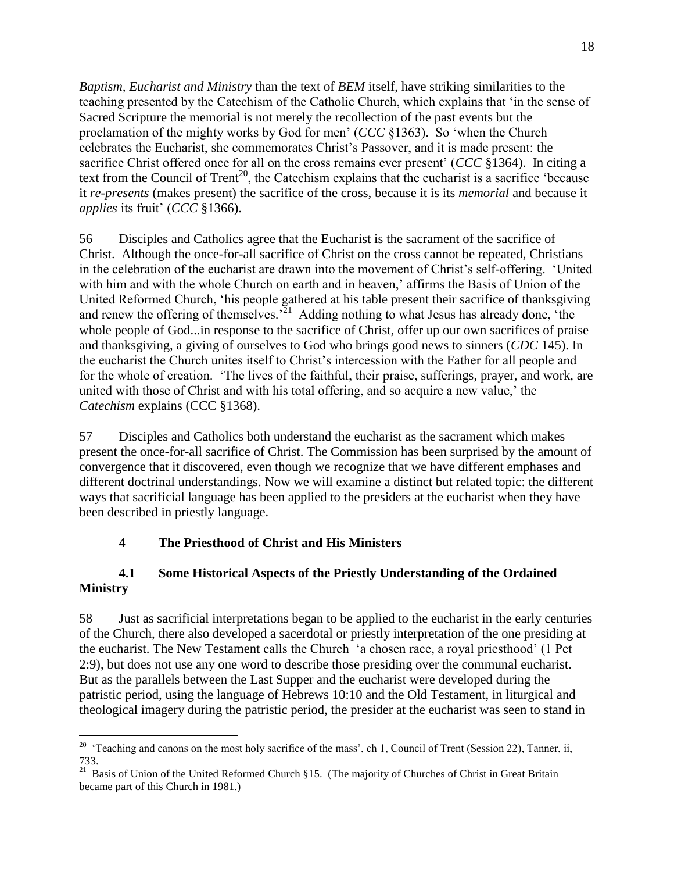*Baptism, Eucharist and Ministry* than the text of *BEM* itself, have striking similarities to the teaching presented by the Catechism of the Catholic Church, which explains that 'in the sense of Sacred Scripture the memorial is not merely the recollection of the past events but the proclamation of the mighty works by God for men' (*CCC* §1363). So 'when the Church celebrates the Eucharist, she commemorates Christ's Passover, and it is made present: the sacrifice Christ offered once for all on the cross remains ever present' (*CCC* §1364). In citing a text from the Council of Trent<sup>20</sup>, the Catechism explains that the eucharist is a sacrifice 'because it *re-presents* (makes present) the sacrifice of the cross, because it is its *memorial* and because it *applies* its fruit' (*CCC* §1366).

56 Disciples and Catholics agree that the Eucharist is the sacrament of the sacrifice of Christ. Although the once-for-all sacrifice of Christ on the cross cannot be repeated, Christians in the celebration of the eucharist are drawn into the movement of Christ's self-offering. 'United with him and with the whole Church on earth and in heaven,' affirms the Basis of Union of the United Reformed Church, 'his people gathered at his table present their sacrifice of thanksgiving and renew the offering of themselves.<sup> $21$ </sup> Adding nothing to what Jesus has already done, 'the whole people of God...in response to the sacrifice of Christ, offer up our own sacrifices of praise and thanksgiving, a giving of ourselves to God who brings good news to sinners (*CDC* 145). In the eucharist the Church unites itself to Christ's intercession with the Father for all people and for the whole of creation. 'The lives of the faithful, their praise, sufferings, prayer, and work, are united with those of Christ and with his total offering, and so acquire a new value,' the *Catechism* explains (CCC §1368).

57 Disciples and Catholics both understand the eucharist as the sacrament which makes present the once-for-all sacrifice of Christ. The Commission has been surprised by the amount of convergence that it discovered, even though we recognize that we have different emphases and different doctrinal understandings. Now we will examine a distinct but related topic: the different ways that sacrificial language has been applied to the presiders at the eucharist when they have been described in priestly language.

## **4 The Priesthood of Christ and His Ministers**

### **4.1 Some Historical Aspects of the Priestly Understanding of the Ordained Ministry**

58 Just as sacrificial interpretations began to be applied to the eucharist in the early centuries of the Church, there also developed a sacerdotal or priestly interpretation of the one presiding at the eucharist. The New Testament calls the Church 'a chosen race, a royal priesthood' (1 Pet 2:9), but does not use any one word to describe those presiding over the communal eucharist. But as the parallels between the Last Supper and the eucharist were developed during the patristic period, using the language of Hebrews 10:10 and the Old Testament, in liturgical and theological imagery during the patristic period, the presider at the eucharist was seen to stand in

<sup>&</sup>lt;sup>20</sup> 'Teaching and canons on the most holy sacrifice of the mass', ch 1, Council of Trent (Session 22), Tanner, ii, 733.

<sup>&</sup>lt;sup>21</sup> Basis of Union of the United Reformed Church §15. (The majority of Churches of Christ in Great Britain became part of this Church in 1981.)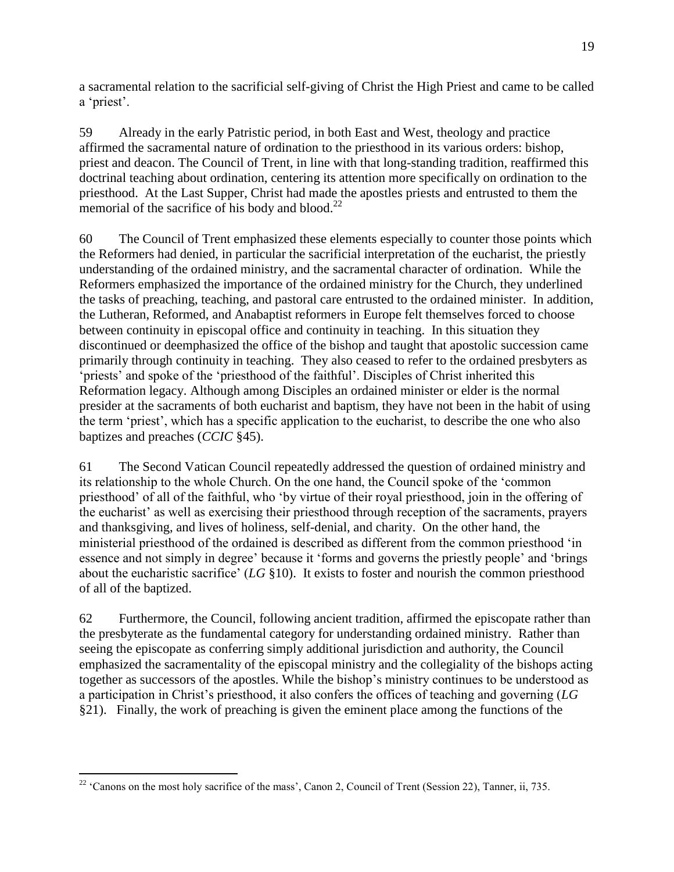a sacramental relation to the sacrificial self-giving of Christ the High Priest and came to be called a 'priest'.

59 Already in the early Patristic period, in both East and West, theology and practice affirmed the sacramental nature of ordination to the priesthood in its various orders: bishop, priest and deacon. The Council of Trent, in line with that long-standing tradition, reaffirmed this doctrinal teaching about ordination, centering its attention more specifically on ordination to the priesthood. At the Last Supper, Christ had made the apostles priests and entrusted to them the memorial of the sacrifice of his body and blood. $^{22}$ 

60 The Council of Trent emphasized these elements especially to counter those points which the Reformers had denied, in particular the sacrificial interpretation of the eucharist, the priestly understanding of the ordained ministry, and the sacramental character of ordination. While the Reformers emphasized the importance of the ordained ministry for the Church, they underlined the tasks of preaching, teaching, and pastoral care entrusted to the ordained minister. In addition, the Lutheran, Reformed, and Anabaptist reformers in Europe felt themselves forced to choose between continuity in episcopal office and continuity in teaching. In this situation they discontinued or deemphasized the office of the bishop and taught that apostolic succession came primarily through continuity in teaching. They also ceased to refer to the ordained presbyters as 'priests' and spoke of the 'priesthood of the faithful'. Disciples of Christ inherited this Reformation legacy. Although among Disciples an ordained minister or elder is the normal presider at the sacraments of both eucharist and baptism, they have not been in the habit of using the term 'priest', which has a specific application to the eucharist, to describe the one who also baptizes and preaches (*CCIC* §45).

61 The Second Vatican Council repeatedly addressed the question of ordained ministry and its relationship to the whole Church. On the one hand, the Council spoke of the 'common priesthood' of all of the faithful, who 'by virtue of their royal priesthood, join in the offering of the eucharist' as well as exercising their priesthood through reception of the sacraments, prayers and thanksgiving, and lives of holiness, self-denial, and charity. On the other hand, the ministerial priesthood of the ordained is described as different from the common priesthood 'in essence and not simply in degree' because it 'forms and governs the priestly people' and 'brings about the eucharistic sacrifice' (*LG* §10). It exists to foster and nourish the common priesthood of all of the baptized.

62 Furthermore, the Council, following ancient tradition, affirmed the episcopate rather than the presbyterate as the fundamental category for understanding ordained ministry. Rather than seeing the episcopate as conferring simply additional jurisdiction and authority, the Council emphasized the sacramentality of the episcopal ministry and the collegiality of the bishops acting together as successors of the apostles. While the bishop's ministry continues to be understood as a participation in Christ's priesthood, it also confers the offices of teaching and governing (*LG* §21). Finally, the work of preaching is given the eminent place among the functions of the

<sup>&</sup>lt;sup>22</sup> 'Canons on the most holy sacrifice of the mass', Canon 2, Council of Trent (Session 22), Tanner, ii, 735.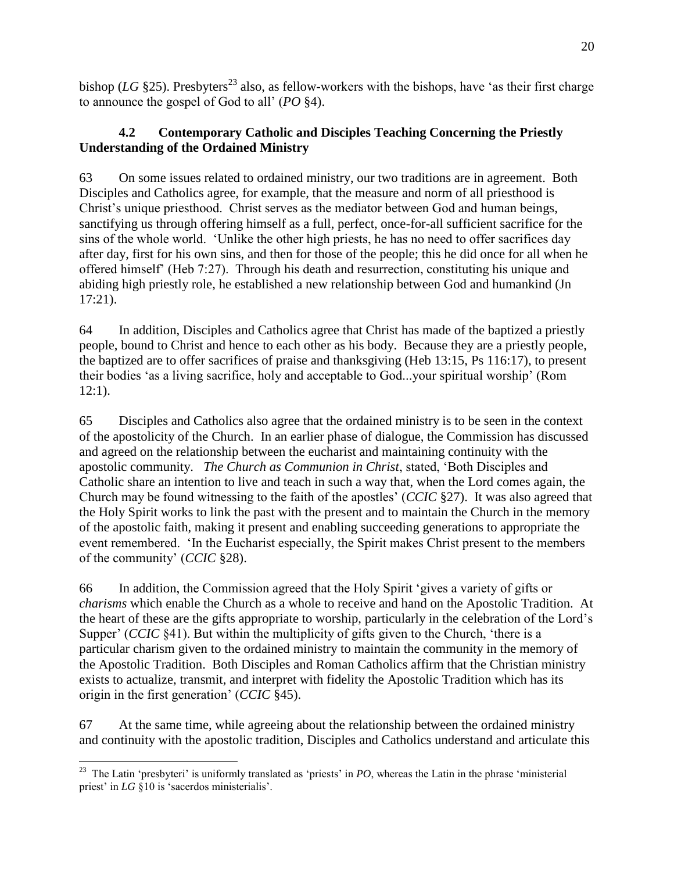bishop (*LG* §25). Presbyters<sup>23</sup> also, as fellow-workers with the bishops, have 'as their first charge to announce the gospel of God to all' (*PO* §4).

## **4.2 Contemporary Catholic and Disciples Teaching Concerning the Priestly Understanding of the Ordained Ministry**

63 On some issues related to ordained ministry, our two traditions are in agreement. Both Disciples and Catholics agree, for example, that the measure and norm of all priesthood is Christ's unique priesthood. Christ serves as the mediator between God and human beings, sanctifying us through offering himself as a full, perfect, once-for-all sufficient sacrifice for the sins of the whole world. 'Unlike the other high priests, he has no need to offer sacrifices day after day, first for his own sins, and then for those of the people; this he did once for all when he offered himself' (Heb 7:27). Through his death and resurrection, constituting his unique and abiding high priestly role, he established a new relationship between God and humankind (Jn 17:21).

64 In addition, Disciples and Catholics agree that Christ has made of the baptized a priestly people, bound to Christ and hence to each other as his body. Because they are a priestly people, the baptized are to offer sacrifices of praise and thanksgiving (Heb 13:15, Ps 116:17), to present their bodies 'as a living sacrifice, holy and acceptable to God...your spiritual worship' (Rom  $12:1$ ).

65 Disciples and Catholics also agree that the ordained ministry is to be seen in the context of the apostolicity of the Church. In an earlier phase of dialogue, the Commission has discussed and agreed on the relationship between the eucharist and maintaining continuity with the apostolic community. *The Church as Communion in Christ*, stated, 'Both Disciples and Catholic share an intention to live and teach in such a way that, when the Lord comes again, the Church may be found witnessing to the faith of the apostles' (*CCIC* §27). It was also agreed that the Holy Spirit works to link the past with the present and to maintain the Church in the memory of the apostolic faith, making it present and enabling succeeding generations to appropriate the event remembered. 'In the Eucharist especially, the Spirit makes Christ present to the members of the community' (*CCIC* §28).

66 In addition, the Commission agreed that the Holy Spirit 'gives a variety of gifts or *charisms* which enable the Church as a whole to receive and hand on the Apostolic Tradition. At the heart of these are the gifts appropriate to worship, particularly in the celebration of the Lord's Supper' (*CCIC* §41). But within the multiplicity of gifts given to the Church, 'there is a particular charism given to the ordained ministry to maintain the community in the memory of the Apostolic Tradition. Both Disciples and Roman Catholics affirm that the Christian ministry exists to actualize, transmit, and interpret with fidelity the Apostolic Tradition which has its origin in the first generation' (*CCIC* §45).

67 At the same time, while agreeing about the relationship between the ordained ministry and continuity with the apostolic tradition, Disciples and Catholics understand and articulate this

<sup>&</sup>lt;sup>23</sup> The Latin 'presbyteri' is uniformly translated as 'priests' in *PO*, whereas the Latin in the phrase 'ministerial priest' in *LG* §10 is 'sacerdos ministerialis'.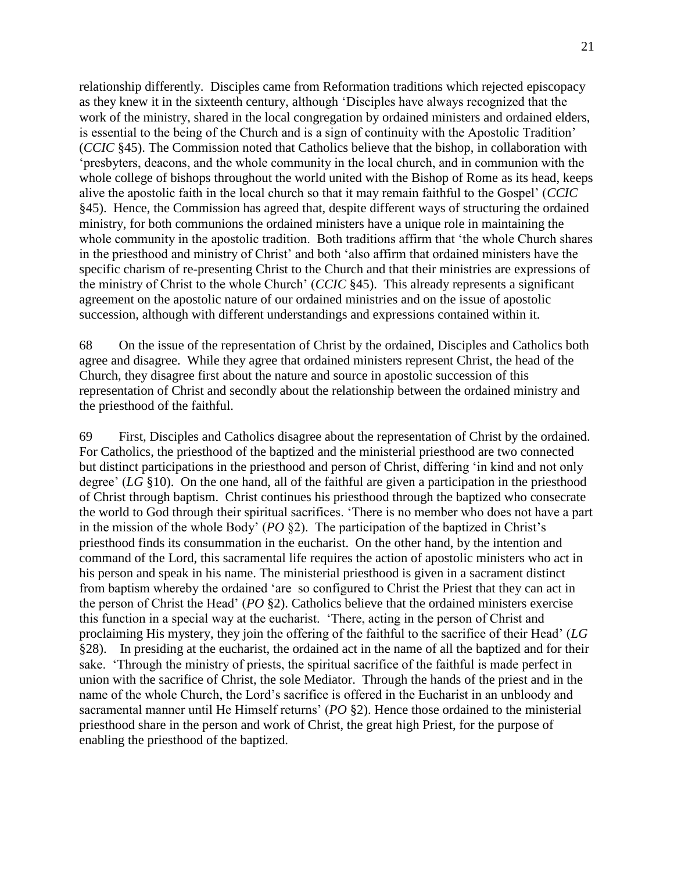relationship differently. Disciples came from Reformation traditions which rejected episcopacy as they knew it in the sixteenth century, although 'Disciples have always recognized that the work of the ministry, shared in the local congregation by ordained ministers and ordained elders, is essential to the being of the Church and is a sign of continuity with the Apostolic Tradition' (*CCIC* §45). The Commission noted that Catholics believe that the bishop, in collaboration with 'presbyters, deacons, and the whole community in the local church, and in communion with the whole college of bishops throughout the world united with the Bishop of Rome as its head, keeps alive the apostolic faith in the local church so that it may remain faithful to the Gospel' (*CCIC* §45). Hence, the Commission has agreed that, despite different ways of structuring the ordained ministry, for both communions the ordained ministers have a unique role in maintaining the whole community in the apostolic tradition. Both traditions affirm that 'the whole Church shares in the priesthood and ministry of Christ' and both 'also affirm that ordained ministers have the specific charism of re-presenting Christ to the Church and that their ministries are expressions of the ministry of Christ to the whole Church' (*CCIC* §45). This already represents a significant agreement on the apostolic nature of our ordained ministries and on the issue of apostolic succession, although with different understandings and expressions contained within it.

68 On the issue of the representation of Christ by the ordained, Disciples and Catholics both agree and disagree. While they agree that ordained ministers represent Christ, the head of the Church, they disagree first about the nature and source in apostolic succession of this representation of Christ and secondly about the relationship between the ordained ministry and the priesthood of the faithful.

69 First, Disciples and Catholics disagree about the representation of Christ by the ordained. For Catholics, the priesthood of the baptized and the ministerial priesthood are two connected but distinct participations in the priesthood and person of Christ, differing 'in kind and not only degree' (*LG* §10). On the one hand, all of the faithful are given a participation in the priesthood of Christ through baptism. Christ continues his priesthood through the baptized who consecrate the world to God through their spiritual sacrifices. 'There is no member who does not have a part in the mission of the whole Body' (*PO* §2). The participation of the baptized in Christ's priesthood finds its consummation in the eucharist. On the other hand, by the intention and command of the Lord, this sacramental life requires the action of apostolic ministers who act in his person and speak in his name. The ministerial priesthood is given in a sacrament distinct from baptism whereby the ordained 'are so configured to Christ the Priest that they can act in the person of Christ the Head' (*PO* §2). Catholics believe that the ordained ministers exercise this function in a special way at the eucharist. 'There, acting in the person of Christ and proclaiming His mystery, they join the offering of the faithful to the sacrifice of their Head' (*LG* §28). In presiding at the eucharist, the ordained act in the name of all the baptized and for their sake. 'Through the ministry of priests, the spiritual sacrifice of the faithful is made perfect in union with the sacrifice of Christ, the sole Mediator. Through the hands of the priest and in the name of the whole Church, the Lord's sacrifice is offered in the Eucharist in an unbloody and sacramental manner until He Himself returns' (*PO* §2). Hence those ordained to the ministerial priesthood share in the person and work of Christ, the great high Priest, for the purpose of enabling the priesthood of the baptized.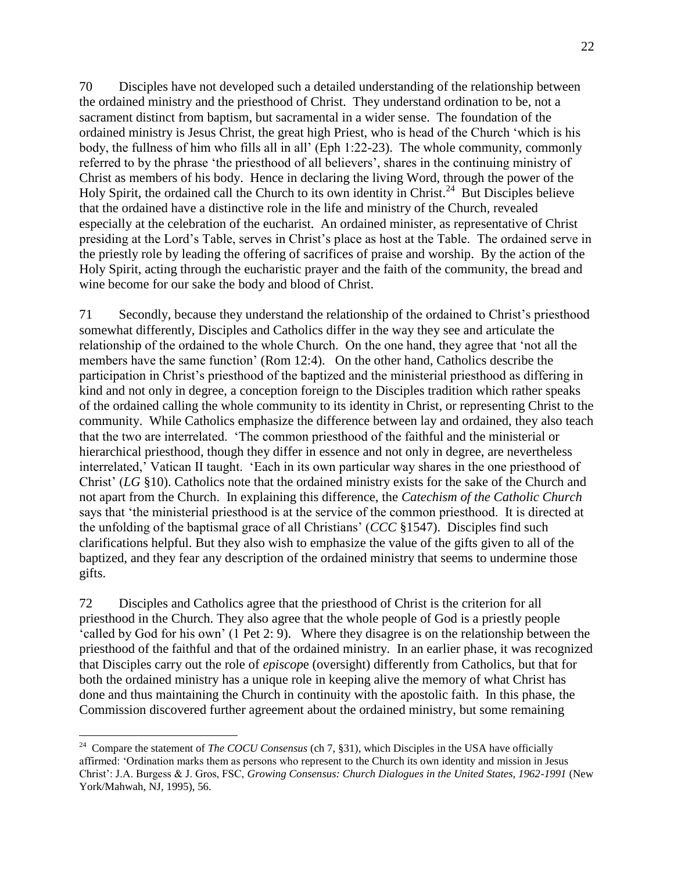70 Disciples have not developed such a detailed understanding of the relationship between the ordained ministry and the priesthood of Christ. They understand ordination to be, not a sacrament distinct from baptism, but sacramental in a wider sense. The foundation of the ordained ministry is Jesus Christ, the great high Priest, who is head of the Church 'which is his body, the fullness of him who fills all in all' (Eph 1:22-23). The whole community, commonly referred to by the phrase 'the priesthood of all believers', shares in the continuing ministry of Christ as members of his body. Hence in declaring the living Word, through the power of the Holy Spirit, the ordained call the Church to its own identity in Christ.<sup>24</sup> But Disciples believe that the ordained have a distinctive role in the life and ministry of the Church, revealed especially at the celebration of the eucharist. An ordained minister, as representative of Christ presiding at the Lord's Table, serves in Christ's place as host at the Table. The ordained serve in the priestly role by leading the offering of sacrifices of praise and worship. By the action of the Holy Spirit, acting through the eucharistic prayer and the faith of the community, the bread and wine become for our sake the body and blood of Christ.

71 Secondly, because they understand the relationship of the ordained to Christ's priesthood somewhat differently, Disciples and Catholics differ in the way they see and articulate the relationship of the ordained to the whole Church. On the one hand, they agree that 'not all the members have the same function' (Rom 12:4). On the other hand, Catholics describe the participation in Christ's priesthood of the baptized and the ministerial priesthood as differing in kind and not only in degree, a conception foreign to the Disciples tradition which rather speaks of the ordained calling the whole community to its identity in Christ, or representing Christ to the community. While Catholics emphasize the difference between lay and ordained, they also teach that the two are interrelated. 'The common priesthood of the faithful and the ministerial or hierarchical priesthood, though they differ in essence and not only in degree, are nevertheless interrelated,' Vatican II taught. 'Each in its own particular way shares in the one priesthood of Christ' (*LG* §10). Catholics note that the ordained ministry exists for the sake of the Church and not apart from the Church. In explaining this difference, the *Catechism of the Catholic Church* says that 'the ministerial priesthood is at the service of the common priesthood. It is directed at the unfolding of the baptismal grace of all Christians' (*CCC* §1547). Disciples find such clarifications helpful. But they also wish to emphasize the value of the gifts given to all of the baptized, and they fear any description of the ordained ministry that seems to undermine those gifts.

72 Disciples and Catholics agree that the priesthood of Christ is the criterion for all priesthood in the Church. They also agree that the whole people of God is a priestly people 'called by God for his own' (1 Pet 2: 9). Where they disagree is on the relationship between the priesthood of the faithful and that of the ordained ministry. In an earlier phase, it was recognized that Disciples carry out the role of *episcop*e (oversight) differently from Catholics, but that for both the ordained ministry has a unique role in keeping alive the memory of what Christ has done and thus maintaining the Church in continuity with the apostolic faith. In this phase, the Commission discovered further agreement about the ordained ministry, but some remaining

<sup>&</sup>lt;sup>24</sup> Compare the statement of *The COCU Consensus* (ch 7, §31), which Disciples in the USA have officially affirmed: 'Ordination marks them as persons who represent to the Church its own identity and mission in Jesus Christ': J.A. Burgess & J. Gros, FSC, *Growing Consensus: Church Dialogues in the United States, 1962-1991* (New York/Mahwah, NJ, 1995), 56.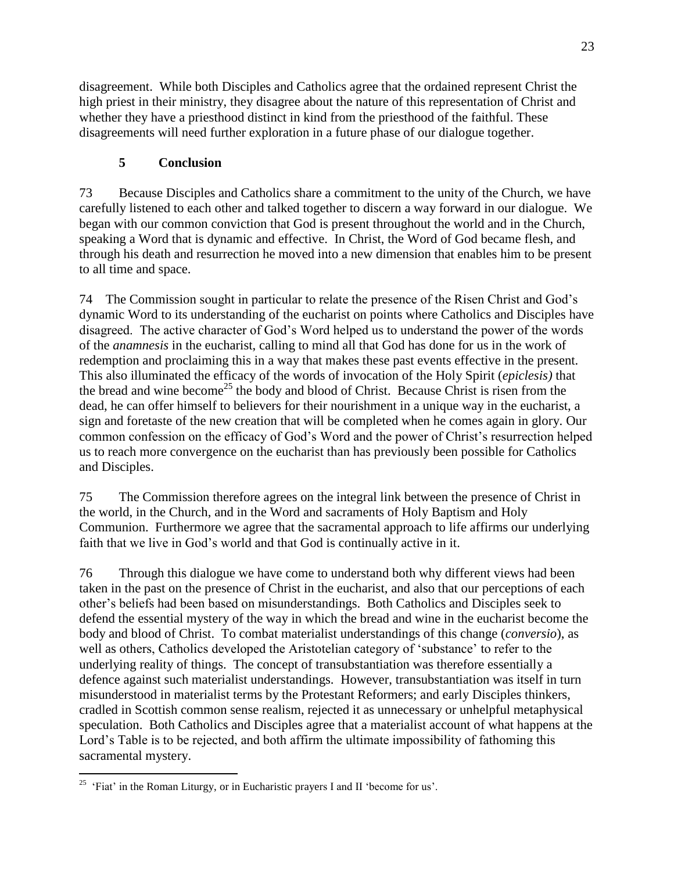disagreement. While both Disciples and Catholics agree that the ordained represent Christ the high priest in their ministry, they disagree about the nature of this representation of Christ and whether they have a priesthood distinct in kind from the priesthood of the faithful. These disagreements will need further exploration in a future phase of our dialogue together.

## **5 Conclusion**

73 Because Disciples and Catholics share a commitment to the unity of the Church, we have carefully listened to each other and talked together to discern a way forward in our dialogue. We began with our common conviction that God is present throughout the world and in the Church, speaking a Word that is dynamic and effective. In Christ, the Word of God became flesh, and through his death and resurrection he moved into a new dimension that enables him to be present to all time and space.

74 The Commission sought in particular to relate the presence of the Risen Christ and God's dynamic Word to its understanding of the eucharist on points where Catholics and Disciples have disagreed. The active character of God's Word helped us to understand the power of the words of the *anamnesis* in the eucharist, calling to mind all that God has done for us in the work of redemption and proclaiming this in a way that makes these past events effective in the present. This also illuminated the efficacy of the words of invocation of the Holy Spirit (*epiclesis)* that the bread and wine become<sup>25</sup> the body and blood of Christ. Because Christ is risen from the dead, he can offer himself to believers for their nourishment in a unique way in the eucharist, a sign and foretaste of the new creation that will be completed when he comes again in glory. Our common confession on the efficacy of God's Word and the power of Christ's resurrection helped us to reach more convergence on the eucharist than has previously been possible for Catholics and Disciples.

75 The Commission therefore agrees on the integral link between the presence of Christ in the world, in the Church, and in the Word and sacraments of Holy Baptism and Holy Communion. Furthermore we agree that the sacramental approach to life affirms our underlying faith that we live in God's world and that God is continually active in it.

76 Through this dialogue we have come to understand both why different views had been taken in the past on the presence of Christ in the eucharist, and also that our perceptions of each other's beliefs had been based on misunderstandings. Both Catholics and Disciples seek to defend the essential mystery of the way in which the bread and wine in the eucharist become the body and blood of Christ. To combat materialist understandings of this change (*conversio*), as well as others, Catholics developed the Aristotelian category of 'substance' to refer to the underlying reality of things. The concept of transubstantiation was therefore essentially a defence against such materialist understandings. However, transubstantiation was itself in turn misunderstood in materialist terms by the Protestant Reformers; and early Disciples thinkers, cradled in Scottish common sense realism, rejected it as unnecessary or unhelpful metaphysical speculation. Both Catholics and Disciples agree that a materialist account of what happens at the Lord's Table is to be rejected, and both affirm the ultimate impossibility of fathoming this sacramental mystery.

<sup>&</sup>lt;sup>25</sup> 'Fiat' in the Roman Liturgy, or in Eucharistic prayers I and II 'become for us'.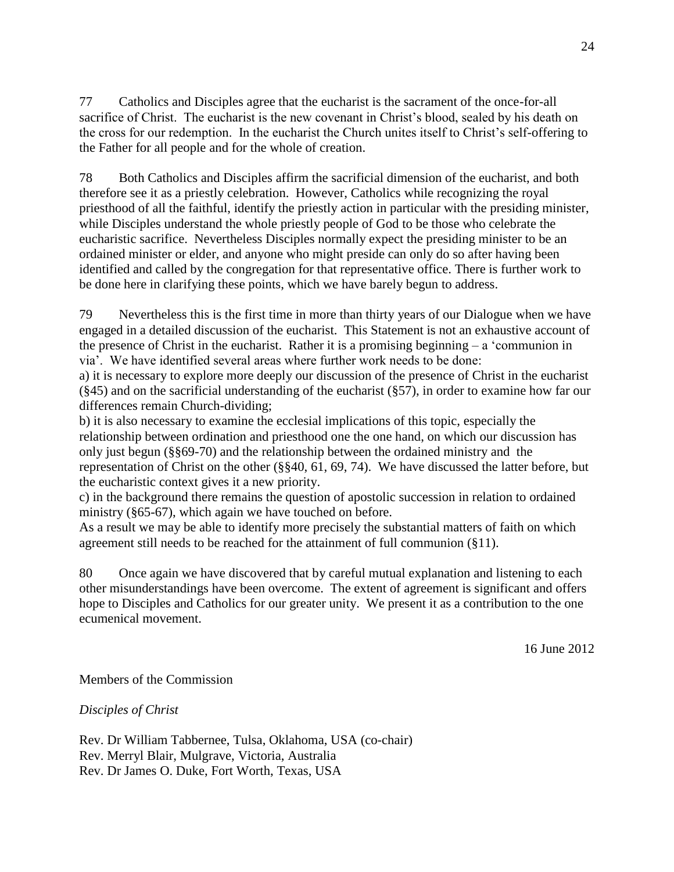77 Catholics and Disciples agree that the eucharist is the sacrament of the once-for-all sacrifice of Christ. The eucharist is the new covenant in Christ's blood, sealed by his death on the cross for our redemption. In the eucharist the Church unites itself to Christ's self-offering to the Father for all people and for the whole of creation.

78 Both Catholics and Disciples affirm the sacrificial dimension of the eucharist, and both therefore see it as a priestly celebration. However, Catholics while recognizing the royal priesthood of all the faithful, identify the priestly action in particular with the presiding minister, while Disciples understand the whole priestly people of God to be those who celebrate the eucharistic sacrifice. Nevertheless Disciples normally expect the presiding minister to be an ordained minister or elder, and anyone who might preside can only do so after having been identified and called by the congregation for that representative office. There is further work to be done here in clarifying these points, which we have barely begun to address.

79 Nevertheless this is the first time in more than thirty years of our Dialogue when we have engaged in a detailed discussion of the eucharist. This Statement is not an exhaustive account of the presence of Christ in the eucharist. Rather it is a promising beginning – a 'communion in via'. We have identified several areas where further work needs to be done:

a) it is necessary to explore more deeply our discussion of the presence of Christ in the eucharist (§45) and on the sacrificial understanding of the eucharist (§57), in order to examine how far our differences remain Church-dividing;

b) it is also necessary to examine the ecclesial implications of this topic, especially the relationship between ordination and priesthood one the one hand, on which our discussion has only just begun (§§69-70) and the relationship between the ordained ministry and the representation of Christ on the other (§§40, 61, 69, 74). We have discussed the latter before, but the eucharistic context gives it a new priority.

c) in the background there remains the question of apostolic succession in relation to ordained ministry (§65-67), which again we have touched on before.

As a result we may be able to identify more precisely the substantial matters of faith on which agreement still needs to be reached for the attainment of full communion (§11).

80 Once again we have discovered that by careful mutual explanation and listening to each other misunderstandings have been overcome. The extent of agreement is significant and offers hope to Disciples and Catholics for our greater unity. We present it as a contribution to the one ecumenical movement.

16 June 2012

Members of the Commission

*Disciples of Christ*

Rev. Dr William Tabbernee, Tulsa, Oklahoma, USA (co-chair) Rev. Merryl Blair, Mulgrave, Victoria, Australia Rev. Dr James O. Duke, Fort Worth, Texas, USA